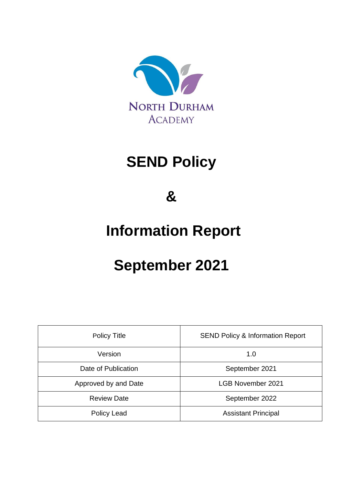

# **SEND Policy**

**&**

# **Information Report**

# **September 2021**

| <b>Policy Title</b>  | <b>SEND Policy &amp; Information Report</b> |
|----------------------|---------------------------------------------|
| Version              | 1.0                                         |
| Date of Publication  | September 2021                              |
| Approved by and Date | <b>LGB November 2021</b>                    |
| <b>Review Date</b>   | September 2022                              |
| Policy Lead          | <b>Assistant Principal</b>                  |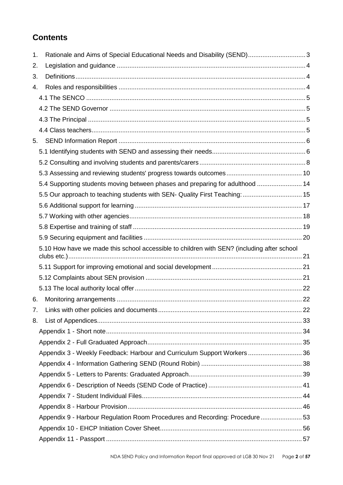# **Contents**

| 1. | Rationale and Aims of Special Educational Needs and Disability (SEND) 3                    |  |
|----|--------------------------------------------------------------------------------------------|--|
| 2. |                                                                                            |  |
| 3. |                                                                                            |  |
| 4. |                                                                                            |  |
|    |                                                                                            |  |
|    |                                                                                            |  |
|    |                                                                                            |  |
|    |                                                                                            |  |
| 5. |                                                                                            |  |
|    |                                                                                            |  |
|    |                                                                                            |  |
|    |                                                                                            |  |
|    | 5.4 Supporting students moving between phases and preparing for adulthood  14              |  |
|    | 5.5 Our approach to teaching students with SEN- Quality First Teaching:  15                |  |
|    |                                                                                            |  |
|    |                                                                                            |  |
|    |                                                                                            |  |
|    |                                                                                            |  |
|    | 5.10 How have we made this school accessible to children with SEN? (including after school |  |
|    |                                                                                            |  |
|    |                                                                                            |  |
|    |                                                                                            |  |
|    |                                                                                            |  |
| 6. |                                                                                            |  |
| 7. |                                                                                            |  |
| 8. |                                                                                            |  |
|    |                                                                                            |  |
|    |                                                                                            |  |
|    | Appendix 3 - Weekly Feedback: Harbour and Curriculum Support Workers36                     |  |
|    |                                                                                            |  |
|    |                                                                                            |  |
|    |                                                                                            |  |
|    |                                                                                            |  |
|    |                                                                                            |  |
|    | Appendix 9 - Harbour Regulation Room Procedures and Recording: Procedure53                 |  |
|    |                                                                                            |  |
|    |                                                                                            |  |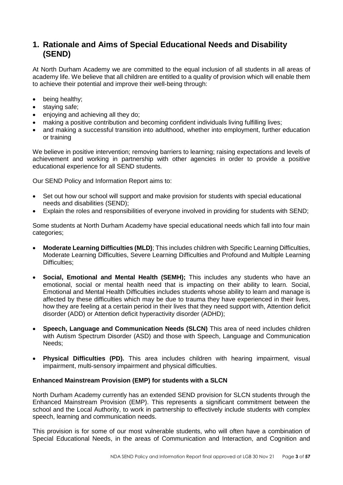# <span id="page-2-0"></span>**1. Rationale and Aims of Special Educational Needs and Disability (SEND)**

At North Durham Academy we are committed to the equal inclusion of all students in all areas of academy life. We believe that all children are entitled to a quality of provision which will enable them to achieve their potential and improve their well-being through:

- being healthy;
- staving safe:
- enjoving and achieving all they do:
- making a positive contribution and becoming confident individuals living fulfilling lives;
- and making a successful transition into adulthood, whether into employment, further education or training

We believe in positive intervention; removing barriers to learning; raising expectations and levels of achievement and working in partnership with other agencies in order to provide a positive educational experience for all SEND students.

Our SEND Policy and Information Report aims to:

- Set out how our school will support and make provision for students with special educational needs and disabilities (SEND);
- Explain the roles and responsibilities of everyone involved in providing for students with SEND;

Some students at North Durham Academy have special educational needs which fall into four main categories;

- **Moderate Learning Difficulties (MLD)**; This includes children with Specific Learning Difficulties, Moderate Learning Difficulties, Severe Learning Difficulties and Profound and Multiple Learning Difficulties:
- **Social, Emotional and Mental Health (SEMH);** This includes any students who have an emotional, social or mental health need that is impacting on their ability to learn. Social, Emotional and Mental Health Difficulties includes students whose ability to learn and manage is affected by these difficulties which may be due to trauma they have experienced in their lives, how they are feeling at a certain period in their lives that they need support with, Attention deficit disorder (ADD) or Attention deficit hyperactivity disorder (ADHD);
- **Speech, Language and Communication Needs (SLCN)** This area of need includes children with Autism Spectrum Disorder (ASD) and those with Speech, Language and Communication Needs;
- **Physical Difficulties (PD).** This area includes children with hearing impairment, visual impairment, multi-sensory impairment and physical difficulties.

## **Enhanced Mainstream Provision (EMP) for students with a SLCN**

North Durham Academy currently has an extended SEND provision for SLCN students through the Enhanced Mainstream Provision (EMP). This represents a significant commitment between the school and the Local Authority, to work in partnership to effectively include students with complex speech, learning and communication needs.

This provision is for some of our most vulnerable students, who will often have a combination of Special Educational Needs, in the areas of Communication and Interaction, and Cognition and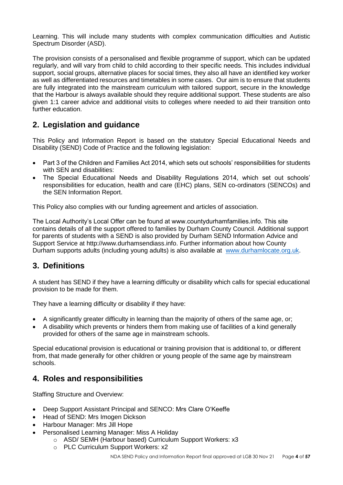Learning. This will include many students with complex communication difficulties and Autistic Spectrum Disorder (ASD).

The provision consists of a personalised and flexible programme of support, which can be updated regularly, and will vary from child to child according to their specific needs. This includes individual support, social groups, alternative places for social times, they also all have an identified key worker as well as differentiated resources and timetables in some cases. Our aim is to ensure that students are fully integrated into the mainstream curriculum with tailored support, secure in the knowledge that the Harbour is always available should they require additional support. These students are also given 1:1 career advice and additional visits to colleges where needed to aid their transition onto further education.

# <span id="page-3-0"></span>**2. Legislation and guidance**

This Policy and Information Report is based on the statutory Special Educational Needs and Disability (SEND) Code of Practice and the following legislation:

- Part 3 of the Children and Families Act 2014, which sets out schools' responsibilities for students with SFN and disabilities:
- The Special Educational Needs and Disability Regulations 2014, which set out schools' responsibilities for education, health and care (EHC) plans, SEN co-ordinators (SENCOs) and the SEN Information Report.

This Policy also complies with our funding agreement and articles of association.

The Local Authority's Local Offer can be found at www.countydurhamfamilies.info. This site contains details of all the support offered to families by Durham County Council. Additional support for parents of students with a SEND is also provided by Durham SEND Information Advice and Support Service at http://www.durhamsendiass.info. Further information about how County Durham supports adults (including young adults) is also available at [www.durhamlocate.org.uk.](http://www.durhamlocate.org.uk/)

# <span id="page-3-1"></span>**3. Definitions**

A student has SEND if they have a learning difficulty or disability which calls for special educational provision to be made for them.

They have a learning difficulty or disability if they have:

- A significantly greater difficulty in learning than the majority of others of the same age, or;
- A disability which prevents or hinders them from making use of facilities of a kind generally provided for others of the same age in mainstream schools.

Special educational provision is educational or training provision that is additional to, or different from, that made generally for other children or young people of the same age by mainstream schools.

# <span id="page-3-2"></span>**4. Roles and responsibilities**

Staffing Structure and Overview:

- Deep Support Assistant Principal and SENCO: Mrs Clare O'Keeffe
- Head of SEND: Mrs Imogen Dickson
- Harbour Manager: Mrs Jill Hope
- Personalised Learning Manager: Miss A Holiday
	- o ASD/ SEMH (Harbour based) Curriculum Support Workers: x3
	- o PLC Curriculum Support Workers: x2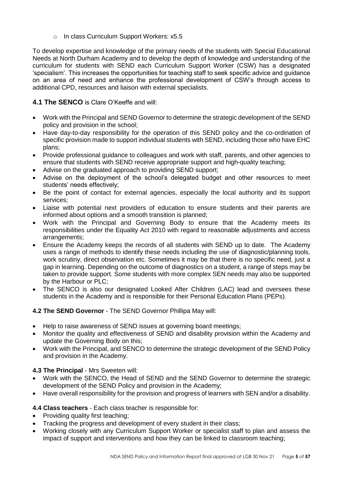o In class Curriculum Support Workers: x5.5

To develop expertise and knowledge of the primary needs of the students with Special Educational Needs at North Durham Academy and to develop the depth of knowledge and understanding of the curriculum for students with SEND each Curriculum Support Worker (CSW) has a designated 'specialism'. This increases the opportunities for teaching staff to seek specific advice and guidance on an area of need and enhance the professional development of CSW's through access to additional CPD, resources and liaison with external specialists.

## <span id="page-4-0"></span>**4.1 The SENCO** is Clare O'Keeffe and will:

- Work with the Principal and SEND Governor to determine the strategic development of the SEND policy and provision in the school;
- Have day-to-day responsibility for the operation of this SEND policy and the co-ordination of specific provision made to support individual students with SEND, including those who have EHC plans;
- Provide professional guidance to colleagues and work with staff, parents, and other agencies to ensure that students with SEND receive appropriate support and high-quality teaching;
- Advise on the graduated approach to providing SEND support;
- Advise on the deployment of the school's delegated budget and other resources to meet students' needs effectively;
- Be the point of contact for external agencies, especially the local authority and its support services;
- Liaise with potential next providers of education to ensure students and their parents are informed about options and a smooth transition is planned;
- Work with the Principal and Governing Body to ensure that the Academy meets its responsibilities under the Equality Act 2010 with regard to reasonable adjustments and access arrangements;
- Ensure the Academy keeps the records of all students with SEND up to date. The Academy uses a range of methods to identify these needs including the use of diagnostic/planning tools, work scrutiny, direct observation etc. Sometimes it may be that there is no specific need, just a gap in learning. Depending on the outcome of diagnostics on a student, a range of steps may be taken to provide support. Some students with more complex SEN needs may also be supported by the Harbour or PLC;
- The SENCO is also our designated Looked After Children (LAC) lead and oversees these students in the Academy and is responsible for their Personal Education Plans (PEPs).

## <span id="page-4-1"></span>**4.2 The SEND Governor** - The SEND Governor Phillipa May will:

- Help to raise awareness of SEND issues at governing board meetings;
- Monitor the quality and effectiveness of SEND and disability provision within the Academy and update the Governing Body on this;
- Work with the Principal, and SENCO to determine the strategic development of the SEND Policy and provision in the Academy.

## <span id="page-4-2"></span>**4.3 The Principal** - Mrs Sweeten will:

- Work with the SENCO, the Head of SEND and the SEND Governor to determine the strategic development of the SEND Policy and provision in the Academy;
- Have overall responsibility for the provision and progress of learners with SEN and/or a disability.

## <span id="page-4-3"></span>**4.4 Class teachers** - Each class teacher is responsible for:

- Providing quality first teaching:
- Tracking the progress and development of every student in their class:
- Working closely with any Curriculum Support Worker or specialist staff to plan and assess the impact of support and interventions and how they can be linked to classroom teaching;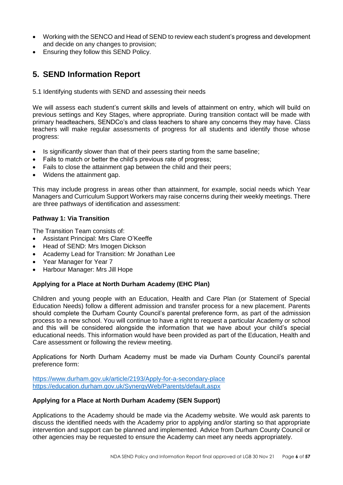- Working with the SENCO and Head of SEND to review each student's progress and development and decide on any changes to provision;
- Ensuring they follow this SEND Policy.

# <span id="page-5-0"></span>**5. SEND Information Report**

<span id="page-5-1"></span>5.1 Identifying students with SEND and assessing their needs

We will assess each student's current skills and levels of attainment on entry, which will build on previous settings and Key Stages, where appropriate. During transition contact will be made with primary headteachers, SENDCo's and class teachers to share any concerns they may have. Class teachers will make regular assessments of progress for all students and identify those whose progress:

- Is significantly slower than that of their peers starting from the same baseline;
- Fails to match or better the child's previous rate of progress;
- Fails to close the attainment gap between the child and their peers;
- Widens the attainment gap.

This may include progress in areas other than attainment, for example, social needs which Year Managers and Curriculum Support Workers may raise concerns during their weekly meetings. There are three pathways of identification and assessment:

## **Pathway 1: Via Transition**

The Transition Team consists of:

- Assistant Principal: Mrs Clare O'Keeffe
- Head of SEND: Mrs Imogen Dickson
- Academy Lead for Transition: Mr Jonathan Lee
- Year Manager for Year 7
- Harbour Manager: Mrs Jill Hope

## **Applying for a Place at North Durham Academy (EHC Plan)**

Children and young people with an Education, Health and Care Plan (or Statement of Special Education Needs) follow a different admission and transfer process for a new placement. Parents should complete the Durham County Council's parental preference form, as part of the admission process to a new school. You will continue to have a right to request a particular Academy or school and this will be considered alongside the information that we have about your child's special educational needs. This information would have been provided as part of the Education, Health and Care assessment or following the review meeting.

Applications for North Durham Academy must be made via Durham County Council's parental preference form:

<https://www.durham.gov.uk/article/2193/Apply-for-a-secondary-place> <https://education.durham.gov.uk/SynergyWeb/Parents/default.aspx>

#### **Applying for a Place at North Durham Academy (SEN Support)**

Applications to the Academy should be made via the Academy website. We would ask parents to discuss the identified needs with the Academy prior to applying and/or starting so that appropriate intervention and support can be planned and implemented. Advice from Durham County Council or other agencies may be requested to ensure the Academy can meet any needs appropriately.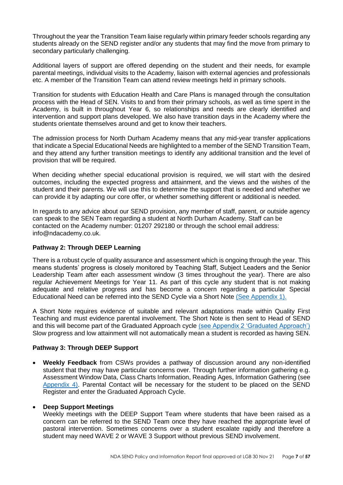Throughout the year the Transition Team liaise regularly within primary feeder schools regarding any students already on the SEND register and/or any students that may find the move from primary to secondary particularly challenging.

Additional layers of support are offered depending on the student and their needs, for example parental meetings, individual visits to the Academy, liaison with external agencies and professionals etc. A member of the Transition Team can attend review meetings held in primary schools.

Transition for students with Education Health and Care Plans is managed through the consultation process with the Head of SEN. Visits to and from their primary schools, as well as time spent in the Academy, is built in throughout Year 6, so relationships and needs are clearly identified and intervention and support plans developed. We also have transition days in the Academy where the students orientate themselves around and get to know their teachers.

The admission process for North Durham Academy means that any mid-year transfer applications that indicate a Special Educational Needs are highlighted to a member of the SEND Transition Team, and they attend any further transition meetings to identify any additional transition and the level of provision that will be required.

When deciding whether special educational provision is required, we will start with the desired outcomes, including the expected progress and attainment, and the views and the wishes of the student and their parents. We will use this to determine the support that is needed and whether we can provide it by adapting our core offer, or whether something different or additional is needed.

In regards to any advice about our SEND provision, any member of staff, parent, or outside agency can speak to the SEN Team regarding a student at North Durham Academy. Staff can be contacted on the Academy number: 01207 292180 or through the school email address: info@ndacademy.co.uk.

## **Pathway 2: Through DEEP Learning**

There is a robust cycle of quality assurance and assessment which is ongoing through the year. This means students' progress is closely monitored by Teaching Staff, Subject Leaders and the Senior Leadership Team after each assessment window (3 times throughout the year). There are also regular Achievement Meetings for Year 11. As part of this cycle any student that is not making adequate and relative progress and has become a concern regarding a particular Special Educational Need can be referred into the SEND Cycle via a Short Note [\(See Appendix 1\).](#page-33-0)

A Short Note requires evidence of suitable and relevant adaptations made within Quality First Teaching and must evidence parental involvement. The Short Note is then sent to Head of SEND and this will become part of the Graduated Approach cycle [\(see Appendix 2 'Graduated Approach'\)](#page-34-0) Slow progress and low attainment will not automatically mean a student is recorded as having SEN.

## **Pathway 3: Through DEEP Support**

• **Weekly Feedback** from CSWs provides a pathway of discussion around any non-identified student that they may have particular concerns over. Through further information gathering e.g. Assessment Window Data, Class Charts Information, Reading Ages, Information Gathering (see [Appendix 4\).](#page-37-0) Parental Contact will be necessary for the student to be placed on the SEND Register and enter the Graduated Approach Cycle.

## • **Deep Support Meetings**

Weekly meetings with the DEEP Support Team where students that have been raised as a concern can be referred to the SEND Team once they have reached the appropriate level of pastoral intervention. Sometimes concerns over a student escalate rapidly and therefore a student may need WAVE 2 or WAVE 3 Support without previous SEND involvement.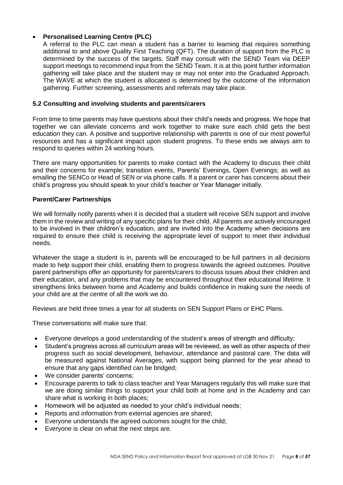## • **Personalised Learning Centre (PLC)**

A referral to the PLC can mean a student has a barrier to learning that requires something additional to and above Quality First Teaching (QFT). The duration of support from the PLC is determined by the success of the targets. Staff may consult with the SEND Team via DEEP support meetings to recommend input from the SEND Team. It is at this point further information gathering will take place and the student may or may not enter into the Graduated Approach. The WAVE at which the student is allocated is determined by the outcome of the information gathering. Further screening, assessments and referrals may take place.

#### <span id="page-7-0"></span>**5.2 Consulting and involving students and parents/carers**

From time to time parents may have questions about their child's needs and progress. We hope that together we can alleviate concerns and work together to make sure each child gets the best education they can. A positive and supportive relationship with parents is one of our most powerful resources and has a significant impact upon student progress. To these ends we always aim to respond to queries within 24 working hours.

There are many opportunities for parents to make contact with the Academy to discuss their child and their concerns for example; transition events, Parents' Evenings, Open Evenings; as well as emailing the SENCo or Head of SEN or via phone calls. If a parent or carer has concerns about their child's progress you should speak to your child's teacher or Year Manager initially.

## **Parent/Carer Partnerships**

We will formally notify parents when it is decided that a student will receive SEN support and involve them in the review and writing of any specific plans for their child. All parents are actively encouraged to be involved in their children's education, and are invited into the Academy when decisions are required to ensure their child is receiving the appropriate level of support to meet their individual needs.

Whatever the stage a student is in, parents will be encouraged to be full partners in all decisions made to help support their child, enabling them to progress towards the agreed outcomes. Positive parent partnerships offer an opportunity for parents/carers to discuss issues about their children and their education, and any problems that may be encountered throughout their educational lifetime. It strengthens links between home and Academy and builds confidence in making sure the needs of your child are at the centre of all the work we do.

Reviews are held three times a year for all students on SEN Support Plans or EHC Plans.

These conversations will make sure that:

- Everyone develops a good understanding of the student's areas of strength and difficulty;
- Student's progress across all curriculum areas will be reviewed, as well as other aspects of their progress such as social development, behaviour, attendance and pastoral care. The data will be measured against National Averages, with support being planned for the year ahead to ensure that any gaps identified can be bridged;
- We consider parents' concerns;
- Encourage parents to talk to class teacher and Year Managers regularly this will make sure that we are doing similar things to support your child both at home and in the Academy and can share what is working in both places;
- Homework will be adjusted as needed to your child's individual needs;
- Reports and information from external agencies are shared;
- Everyone understands the agreed outcomes sought for the child;
- Everyone is clear on what the next steps are.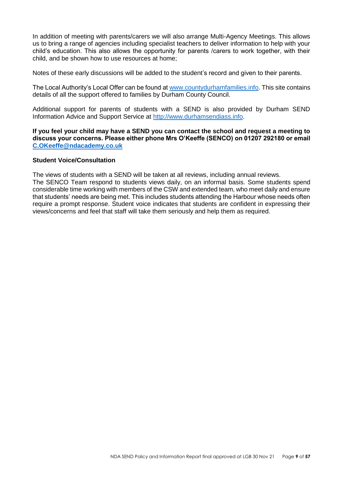In addition of meeting with parents/carers we will also arrange Multi-Agency Meetings. This allows us to bring a range of agencies including specialist teachers to deliver information to help with your child's education. This also allows the opportunity for parents /carers to work together, with their child, and be shown how to use resources at home;

Notes of these early discussions will be added to the student's record and given to their parents.

The Local Authority's Local Offer can be found at [www.countydurhamfamilies.info.](http://www.countydurhamfamilies.info/) This site contains details of all the support offered to families by Durham County Council.

Additional support for parents of students with a SEND is also provided by Durham SEND Information Advice and Support Service at [http://www.durhamsendiass.info.](http://www.durhamsendiass.info/)

**If you feel your child may have a SEND you can contact the school and request a meeting to discuss your concerns. Please either phone Mrs O'Keeffe (SENCO) on 01207 292180 or email [C.OKeeffe@ndacademy.co.uk](mailto:C.OKeeffe@ndacademy.co.uk)**

#### **Student Voice/Consultation**

The views of students with a SEND will be taken at all reviews, including annual reviews.

The SENCO Team respond to students views daily, on an informal basis. Some students spend considerable time working with members of the CSW and extended team, who meet daily and ensure that students' needs are being met. This includes students attending the Harbour whose needs often require a prompt response. Student voice indicates that students are confident in expressing their views/concerns and feel that staff will take them seriously and help them as required.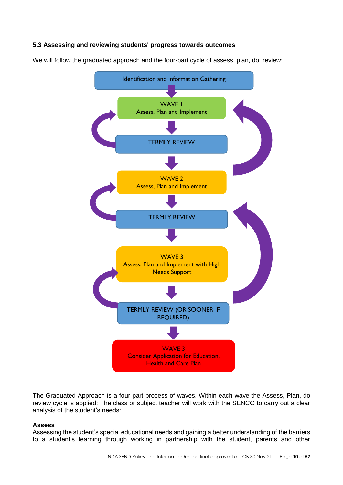## <span id="page-9-0"></span>**5.3 Assessing and reviewing students' progress towards outcomes**

We will follow the graduated approach and the four-part cycle of assess, plan, do, review:



The Graduated Approach is a four-part process of waves. Within each wave the Assess, Plan, do review cycle is applied; The class or subject teacher will work with the SENCO to carry out a clear analysis of the student's needs:

#### **Assess**

Assessing the student's special educational needs and gaining a better understanding of the barriers to a student's learning through working in partnership with the student, parents and other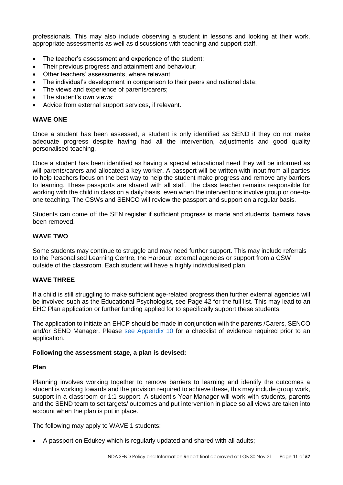professionals. This may also include observing a student in lessons and looking at their work, appropriate assessments as well as discussions with teaching and support staff.

- The teacher's assessment and experience of the student;
- Their previous progress and attainment and behaviour;
- Other teachers' assessments, where relevant;
- The individual's development in comparison to their peers and national data;
- The views and experience of parents/carers;
- The student's own views:
- Advice from external support services, if relevant.

#### **WAVE ONE**

Once a student has been assessed, a student is only identified as SEND if they do not make adequate progress despite having had all the intervention, adjustments and good quality personalised teaching.

Once a student has been identified as having a special educational need they will be informed as will parents/carers and allocated a key worker. A passport will be written with input from all parties to help teachers focus on the best way to help the student make progress and remove any barriers to learning. These passports are shared with all staff. The class teacher remains responsible for working with the child in class on a daily basis, even when the interventions involve group or one-toone teaching. The CSWs and SENCO will review the passport and support on a regular basis.

Students can come off the SEN register if sufficient progress is made and students' barriers have been removed.

#### **WAVE TWO**

Some students may continue to struggle and may need further support. This may include referrals to the Personalised Learning Centre, the Harbour, external agencies or support from a CSW outside of the classroom. Each student will have a highly individualised plan.

## **WAVE THREE**

If a child is still struggling to make sufficient age-related progress then further external agencies will be involved such as the Educational Psychologist, see Page 42 for the full list. This may lead to an EHC Plan application or further funding applied for to specifically support these students.

The application to initiate an EHCP should be made in conjunction with the parents /Carers, SENCO and/or SEND Manager. Please [see Appendix 10](#page-55-0) for a checklist of evidence required prior to an application.

#### **Following the assessment stage, a plan is devised:**

#### **Plan**

Planning involves working together to remove barriers to learning and identify the outcomes a student is working towards and the provision required to achieve these, this may include group work, support in a classroom or 1:1 support. A student's Year Manager will work with students, parents and the SEND team to set targets/ outcomes and put intervention in place so all views are taken into account when the plan is put in place.

The following may apply to WAVE 1 students:

• A passport on Edukey which is regularly updated and shared with all adults;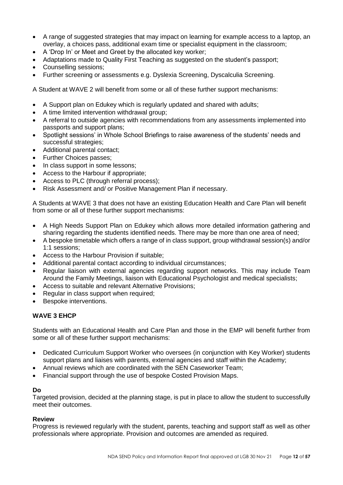- A range of suggested strategies that may impact on learning for example access to a laptop, an overlay, a choices pass, additional exam time or specialist equipment in the classroom;
- A 'Drop In' or Meet and Greet by the allocated key worker;
- Adaptations made to Quality First Teaching as suggested on the student's passport;
- Counselling sessions;
- Further screening or assessments e.g. Dyslexia Screening, Dyscalculia Screening.

A Student at WAVE 2 will benefit from some or all of these further support mechanisms:

- A Support plan on Edukey which is regularly updated and shared with adults;
- A time limited intervention withdrawal group;
- A referral to outside agencies with recommendations from any assessments implemented into passports and support plans;
- Spotlight sessions' in Whole School Briefings to raise awareness of the students' needs and successful strategies;
- Additional parental contact;
- Further Choices passes;
- In class support in some lessons;
- Access to the Harbour if appropriate;
- Access to PLC (through referral process):
- Risk Assessment and/ or Positive Management Plan if necessary.

A Students at WAVE 3 that does not have an existing Education Health and Care Plan will benefit from some or all of these further support mechanisms:

- A High Needs Support Plan on Edukey which allows more detailed information gathering and sharing regarding the students identified needs. There may be more than one area of need;
- A bespoke timetable which offers a range of in class support, group withdrawal session(s) and/or 1:1 sessions;
- Access to the Harbour Provision if suitable;
- Additional parental contact according to individual circumstances;
- Regular liaison with external agencies regarding support networks. This may include Team Around the Family Meetings, liaison with Educational Psychologist and medical specialists;
- Access to suitable and relevant Alternative Provisions;
- Regular in class support when required;
- Bespoke interventions.

## **WAVE 3 EHCP**

Students with an Educational Health and Care Plan and those in the EMP will benefit further from some or all of these further support mechanisms:

- Dedicated Curriculum Support Worker who oversees (in conjunction with Key Worker) students support plans and liaises with parents, external agencies and staff within the Academy;
- Annual reviews which are coordinated with the SEN Caseworker Team;
- Financial support through the use of bespoke Costed Provision Maps.

## **Do**

Targeted provision, decided at the planning stage, is put in place to allow the student to successfully meet their outcomes.

## **Review**

Progress is reviewed regularly with the student, parents, teaching and support staff as well as other professionals where appropriate. Provision and outcomes are amended as required.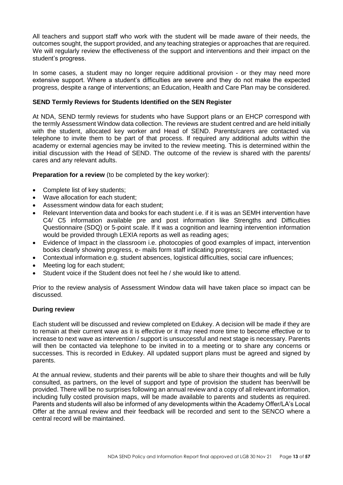All teachers and support staff who work with the student will be made aware of their needs, the outcomes sought, the support provided, and any teaching strategies or approaches that are required. We will regularly review the effectiveness of the support and interventions and their impact on the student's progress.

In some cases, a student may no longer require additional provision - or they may need more extensive support. Where a student's difficulties are severe and they do not make the expected progress, despite a range of interventions; an Education, Health and Care Plan may be considered.

#### **SEND Termly Reviews for Students Identified on the SEN Register**

At NDA, SEND termly reviews for students who have Support plans or an EHCP correspond with the termly Assessment Window data collection. The reviews are student centred and are held initially with the student, allocated key worker and Head of SEND. Parents/carers are contacted via telephone to invite them to be part of that process. If required any additional adults within the academy or external agencies may be invited to the review meeting. This is determined within the initial discussion with the Head of SEND. The outcome of the review is shared with the parents/ cares and any relevant adults.

**Preparation for a review** (to be completed by the key worker):

- Complete list of key students;
- Wave allocation for each student;
- Assessment window data for each student;
- Relevant Intervention data and books for each student i.e. if it is was an SEMH intervention have C4/ C5 information available pre and post information like Strengths and Difficulties Questionnaire (SDQ) or 5-point scale. If it was a cognition and learning intervention information would be provided through LEXIA reports as well as reading ages;
- Evidence of Impact in the classroom i.e. photocopies of good examples of impact, intervention books clearly showing progress, e- mails form staff indicating progress;
- Contextual information e.g. student absences, logistical difficulties, social care influences;
- Meeting log for each student;
- Student voice if the Student does not feel he / she would like to attend.

Prior to the review analysis of Assessment Window data will have taken place so impact can be discussed.

#### **During review**

Each student will be discussed and review completed on Edukey. A decision will be made if they are to remain at their current wave as it is effective or it may need more time to become effective or to increase to next wave as intervention / support is unsuccessful and next stage is necessary. Parents will then be contacted via telephone to be invited in to a meeting or to share any concerns or successes. This is recorded in Edukey. All updated support plans must be agreed and signed by parents.

At the annual review, students and their parents will be able to share their thoughts and will be fully consulted, as partners, on the level of support and type of provision the student has been/will be provided. There will be no surprises following an annual review and a copy of all relevant information, including fully costed provision maps, will be made available to parents and students as required. Parents and students will also be informed of any developments within the Academy Offer/LA's Local Offer at the annual review and their feedback will be recorded and sent to the SENCO where a central record will be maintained.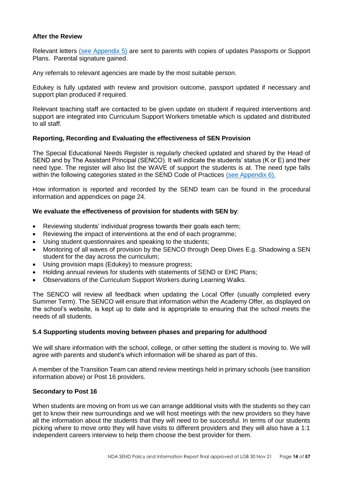#### **After the Review**

Relevant letters [\(see Appendix 5\)](#page-38-0) are sent to parents with copies of updates Passports or Support Plans. Parental signature gained.

Any referrals to relevant agencies are made by the most suitable person.

Edukey is fully updated with review and provision outcome, passport updated if necessary and support plan produced if required.

Relevant teaching staff are contacted to be given update on student if required interventions and support are integrated into Curriculum Support Workers timetable which is updated and distributed to all staff.

## **Reporting, Recording and Evaluating the effectiveness of SEN Provision**

The Special Educational Needs Register is regularly checked updated and shared by the Head of SEND and by The Assistant Principal (SENCO). It will indicate the students' status (K or E) and their need type. The register will also list the WAVE of support the students is at. The need type falls within the following categories stated in the SEND Code of Practices [\(see Appendix 6\).](#page-39-0)

How information is reported and recorded by the SEND team can be found in the procedural information and appendices on page 24.

## **We evaluate the effectiveness of provision for students with SEN by**:

- Reviewing students' individual progress towards their goals each term;
- Reviewing the impact of interventions at the end of each programme;
- Using student questionnaires and speaking to the students;
- Monitoring of all waves of provision by the SENCO through Deep Dives E.g. Shadowing a SEN student for the day across the curriculum;
- Using provision maps (Edukey) to measure progress;
- Holding annual reviews for students with statements of SEND or EHC Plans;
- Observations of the Curriculum Support Workers during Learning Walks.

The SENCO will review all feedback when updating the Local Offer (usually completed every Summer Term). The SENCO will ensure that information within the Academy Offer, as displayed on the school's website, is kept up to date and is appropriate to ensuring that the school meets the needs of all students.

#### <span id="page-13-0"></span>**5.4 Supporting students moving between phases and preparing for adulthood**

We will share information with the school, college, or other setting the student is moving to. We will agree with parents and student's which information will be shared as part of this.

A member of the Transition Team can attend review meetings held in primary schools (see transition information above) or Post 16 providers.

#### **Secondary to Post 16**

When students are moving on from us we can arrange additional visits with the students so they can get to know their new surroundings and we will host meetings with the new providers so they have all the information about the students that they will need to be successful. In terms of our students picking where to move onto they will have visits to different providers and they will also have a 1:1 independent careers interview to help them choose the best provider for them.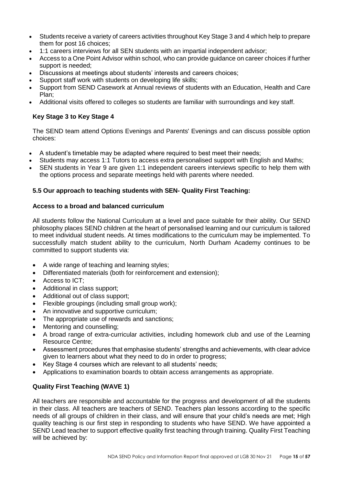- Students receive a variety of careers activities throughout Key Stage 3 and 4 which help to prepare them for post 16 choices;
- 1:1 careers interviews for all SEN students with an impartial independent advisor;
- Access to a One Point Advisor within school, who can provide guidance on career choices if further support is needed;
- Discussions at meetings about students' interests and careers choices;
- Support staff work with students on developing life skills:
- Support from SEND Casework at Annual reviews of students with an Education, Health and Care Plan;
- Additional visits offered to colleges so students are familiar with surroundings and key staff.

## **Key Stage 3 to Key Stage 4**

The SEND team attend Options Evenings and Parents' Evenings and can discuss possible option choices:

- A student's timetable may be adapted where required to best meet their needs;
- Students may access 1:1 Tutors to access extra personalised support with English and Maths;
- SEN students in Year 9 are given 1:1 independent careers interviews specific to help them with the options process and separate meetings held with parents where needed.

## <span id="page-14-0"></span>**5.5 Our approach to teaching students with SEN- Quality First Teaching:**

## **Access to a broad and balanced curriculum**

All students follow the National Curriculum at a level and pace suitable for their ability. Our SEND philosophy places SEND children at the heart of personalised learning and our curriculum is tailored to meet individual student needs. At times modifications to the curriculum may be implemented. To successfully match student ability to the curriculum, North Durham Academy continues to be committed to support students via:

- A wide range of teaching and learning styles;
- Differentiated materials (both for reinforcement and extension);
- Access to ICT;
- Additional in class support:
- Additional out of class support;
- Flexible groupings (including small group work);
- An innovative and supportive curriculum;
- The appropriate use of rewards and sanctions;
- Mentoring and counselling;
- A broad range of extra-curricular activities, including homework club and use of the Learning Resource Centre;
- Assessment procedures that emphasise students' strengths and achievements, with clear advice given to learners about what they need to do in order to progress;
- Key Stage 4 courses which are relevant to all students' needs;
- Applications to examination boards to obtain access arrangements as appropriate.

## **Quality First Teaching (WAVE 1)**

All teachers are responsible and accountable for the progress and development of all the students in their class. All teachers are teachers of SEND. Teachers plan lessons according to the specific needs of all groups of children in their class, and will ensure that your child's needs are met; High quality teaching is our first step in responding to students who have SEND. We have appointed a SEND Lead teacher to support effective quality first teaching through training. Quality First Teaching will be achieved by: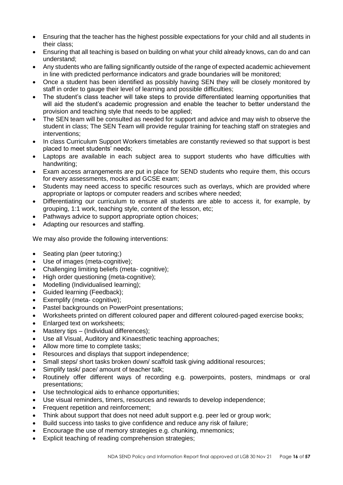- Ensuring that the teacher has the highest possible expectations for your child and all students in their class;
- Ensuring that all teaching is based on building on what your child already knows, can do and can understand;
- Any students who are falling significantly outside of the range of expected academic achievement in line with predicted performance indicators and grade boundaries will be monitored;
- Once a student has been identified as possibly having SEN they will be closely monitored by staff in order to gauge their level of learning and possible difficulties;
- The student's class teacher will take steps to provide differentiated learning opportunities that will aid the student's academic progression and enable the teacher to better understand the provision and teaching style that needs to be applied;
- The SEN team will be consulted as needed for support and advice and may wish to observe the student in class; The SEN Team will provide regular training for teaching staff on strategies and interventions;
- In class Curriculum Support Workers timetables are constantly reviewed so that support is best placed to meet students' needs;
- Laptops are available in each subject area to support students who have difficulties with handwriting;
- Exam access arrangements are put in place for SEND students who require them, this occurs for every assessments, mocks and GCSE exam;
- Students may need access to specific resources such as overlays, which are provided where appropriate or laptops or computer readers and scribes where needed;
- Differentiating our curriculum to ensure all students are able to access it, for example, by grouping, 1:1 work, teaching style, content of the lesson, etc;
- Pathways advice to support appropriate option choices:
- Adapting our resources and staffing.

We may also provide the following interventions:

- Seating plan (peer tutoring;)
- Use of images (meta-cognitive);
- Challenging limiting beliefs (meta- cognitive):
- High order questioning (meta-cognitive);
- Modelling (Individualised learning);
- Guided learning (Feedback);
- Exemplify (meta- cognitive);
- Pastel backgrounds on PowerPoint presentations;
- Worksheets printed on different coloured paper and different coloured-paged exercise books;
- Enlarged text on worksheets:
- Mastery tips (Individual differences);
- Use all Visual, Auditory and Kinaesthetic teaching approaches;
- Allow more time to complete tasks;
- Resources and displays that support independence;
- Small steps/ short tasks broken down/ scaffold task giving additional resources;
- Simplify task/ pace/ amount of teacher talk:
- Routinely offer different ways of recording e.g. powerpoints, posters, mindmaps or oral presentations;
- Use technological aids to enhance opportunities;
- Use visual reminders, timers, resources and rewards to develop independence;
- Frequent repetition and reinforcement;
- Think about support that does not need adult support e.g. peer led or group work;
- Build success into tasks to give confidence and reduce any risk of failure;
- Encourage the use of memory strategies e.g. chunking, mnemonics;
- Explicit teaching of reading comprehension strategies: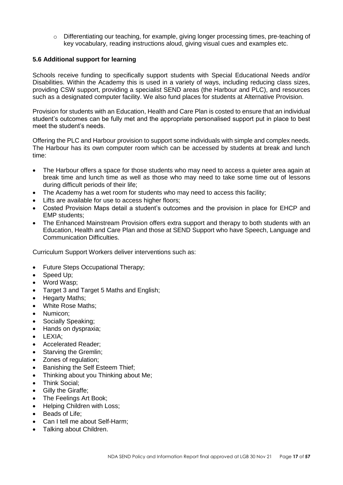$\circ$  Differentiating our teaching, for example, giving longer processing times, pre-teaching of key vocabulary, reading instructions aloud, giving visual cues and examples etc.

## <span id="page-16-0"></span>**5.6 Additional support for learning**

Schools receive funding to specifically support students with Special Educational Needs and/or Disabilities. Within the Academy this is used in a variety of ways, including reducing class sizes, providing CSW support, providing a specialist SEND areas (the Harbour and PLC), and resources such as a designated computer facility. We also fund places for students at Alternative Provision.

Provision for students with an Education, Health and Care Plan is costed to ensure that an individual student's outcomes can be fully met and the appropriate personalised support put in place to best meet the student's needs.

Offering the PLC and Harbour provision to support some individuals with simple and complex needs. The Harbour has its own computer room which can be accessed by students at break and lunch time:

- The Harbour offers a space for those students who may need to access a quieter area again at break time and lunch time as well as those who may need to take some time out of lessons during difficult periods of their life;
- The Academy has a wet room for students who may need to access this facility;
- Lifts are available for use to access higher floors;
- Costed Provision Maps detail a student's outcomes and the provision in place for EHCP and EMP students;
- The Enhanced Mainstream Provision offers extra support and therapy to both students with an Education, Health and Care Plan and those at SEND Support who have Speech, Language and Communication Difficulties.

Curriculum Support Workers deliver interventions such as:

- Future Steps Occupational Therapy;
- Speed Up:
- Word Wasp;
- Target 3 and Target 5 Maths and English;
- Hegarty Maths;
- White Rose Maths;
- Numicon:
- Socially Speaking;
- Hands on dyspraxia;
- LEXIA;
- Accelerated Reader;
- Starving the Gremlin:
- Zones of regulation;
- Banishing the Self Esteem Thief;
- Thinking about you Thinking about Me;
- Think Social;
- **Gilly the Giraffe:**
- The Feelings Art Book;
- Helping Children with Loss:
- Beads of Life:
- Can I tell me about Self-Harm;
- Talking about Children.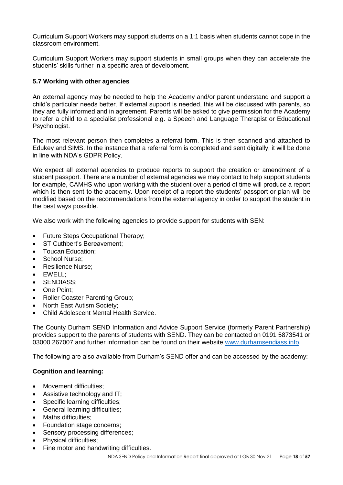Curriculum Support Workers may support students on a 1:1 basis when students cannot cope in the classroom environment.

Curriculum Support Workers may support students in small groups when they can accelerate the students' skills further in a specific area of development.

## <span id="page-17-0"></span>**5.7 Working with other agencies**

An external agency may be needed to help the Academy and/or parent understand and support a child's particular needs better. If external support is needed, this will be discussed with parents, so they are fully informed and in agreement. Parents will be asked to give permission for the Academy to refer a child to a specialist professional e.g. a Speech and Language Therapist or Educational Psychologist.

The most relevant person then completes a referral form. This is then scanned and attached to Edukey and SIMS. In the instance that a referral form is completed and sent digitally, it will be done in line with NDA's GDPR Policy.

We expect all external agencies to produce reports to support the creation or amendment of a student passport. There are a number of external agencies we may contact to help support students for example, CAMHS who upon working with the student over a period of time will produce a report which is then sent to the academy. Upon receipt of a report the students' passport or plan will be modified based on the recommendations from the external agency in order to support the student in the best ways possible.

We also work with the following agencies to provide support for students with SEN:

- Future Steps Occupational Therapy;
- ST Cuthbert's Bereavement:
- Toucan Education;
- School Nurse:
- Resilience Nurse;
- EWELL;
- SENDIASS;
- One Point;
- Roller Coaster Parenting Group;
- North East Autism Society;
- Child Adolescent Mental Health Service.

The County Durham SEND Information and Advice Support Service (formerly Parent Partnership) provides support to the parents of students with SEND. They can be contacted on 0191 5873541 or 03000 267007 and further information can be found on their website [www.durhamsendiass.info.](http://www.durhamsendiass.info/)

The following are also available from Durham's SEND offer and can be accessed by the academy:

## **Cognition and learning:**

- Movement difficulties:
- Assistive technology and IT:
- Specific learning difficulties:
- General learning difficulties;
- Maths difficulties:
- Foundation stage concerns;
- Sensory processing differences;
- Physical difficulties;
- Fine motor and handwriting difficulties.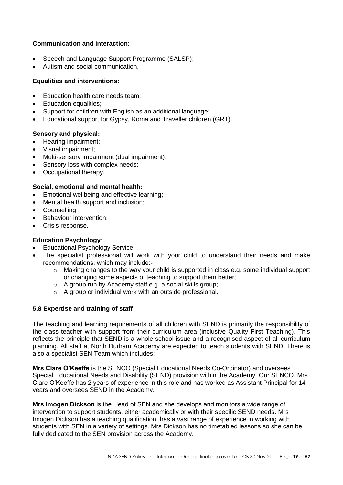## **Communication and interaction:**

- Speech and Language Support Programme (SALSP);
- Autism and social communication.

#### **Equalities and interventions:**

- Education health care needs team:
- Education equalities;
- Support for children with English as an additional language;
- Educational support for Gypsy, Roma and Traveller children (GRT).

#### **Sensory and physical:**

- Hearing impairment;
- Visual impairment;
- Multi-sensory impairment (dual impairment);
- Sensory loss with complex needs:
- Occupational therapy.

#### **Social, emotional and mental health:**

- Emotional wellbeing and effective learning;
- Mental health support and inclusion;
- Counselling;
- Behaviour intervention;
- Crisis response.

## **Education Psychology**:

- Educational Psychology Service;
- The specialist professional will work with your child to understand their needs and make recommendations, which may include:
	- o Making changes to the way your child is supported in class e.g. some individual support or changing some aspects of teaching to support them better;
	- o A group run by Academy staff e.g. a social skills group;
	- o A group or individual work with an outside professional.

## <span id="page-18-0"></span>**5.8 Expertise and training of staff**

The teaching and learning requirements of all children with SEND is primarily the responsibility of the class teacher with support from their curriculum area (inclusive Quality First Teaching). This reflects the principle that SEND is a whole school issue and a recognised aspect of all curriculum planning. All staff at North Durham Academy are expected to teach students with SEND. There is also a specialist SEN Team which includes:

**Mrs Clare O'Keeffe** is the SENCO (Special Educational Needs Co-Ordinator) and oversees Special Educational Needs and Disability (SEND) provision within the Academy. Our SENCO, Mrs Clare O'Keeffe has 2 years of experience in this role and has worked as Assistant Principal for 14 years and oversees SEND in the Academy.

**Mrs Imogen Dickson** is the Head of SEN and she develops and monitors a wide range of intervention to support students, either academically or with their specific SEND needs. Mrs Imogen Dickson has a teaching qualification, has a vast range of experience in working with students with SEN in a variety of settings. Mrs Dickson has no timetabled lessons so she can be fully dedicated to the SEN provision across the Academy.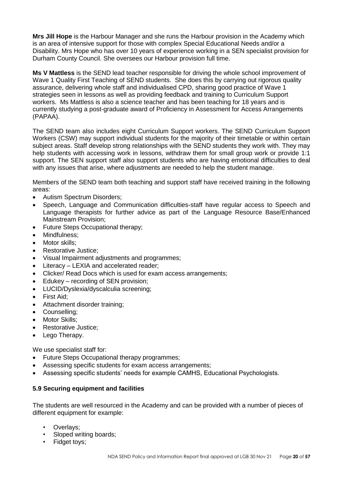**Mrs Jill Hope** is the Harbour Manager and she runs the Harbour provision in the Academy which is an area of intensive support for those with complex Special Educational Needs and/or a Disability. Mrs Hope who has over 10 years of experience working in a SEN specialist provision for Durham County Council. She oversees our Harbour provision full time.

**Ms V Mattless** is the SEND lead teacher responsible for driving the whole school improvement of Wave 1 Quality First Teaching of SEND students. She does this by carrying out rigorous quality assurance, delivering whole staff and individualised CPD, sharing good practice of Wave 1 strategies seen in lessons as well as providing feedback and training to Curriculum Support workers. Ms Mattless is also a science teacher and has been teaching for 18 years and is currently studying a post-graduate award of Proficiency in Assessment for Access Arrangements (PAPAA).

The SEND team also includes eight Curriculum Support workers. The SEND Curriculum Support Workers (CSW) may support individual students for the majority of their timetable or within certain subject areas. Staff develop strong relationships with the SEND students they work with. They may help students with accessing work in lessons, withdraw them for small group work or provide 1:1 support. The SEN support staff also support students who are having emotional difficulties to deal with any issues that arise, where adjustments are needed to help the student manage.

Members of the SEND team both teaching and support staff have received training in the following areas:

- Autism Spectrum Disorders;
- Speech, Language and Communication difficulties-staff have regular access to Speech and Language therapists for further advice as part of the Language Resource Base/Enhanced Mainstream Provision;
- Future Steps Occupational therapy;
- Mindfulness;
- Motor skills:
- Restorative Justice;
- Visual Impairment adjustments and programmes;
- Literacy LEXIA and accelerated reader:
- Clicker/ Read Docs which is used for exam access arrangements;
- Edukey recording of SEN provision;
- LUCID/Dyslexia/dyscalculia screening;
- First Aid;
- Attachment disorder training;
- Counselling;
- Motor Skills:
- Restorative Justice:
- Lego Therapy.

We use specialist staff for:

- Future Steps Occupational therapy programmes;
- Assessing specific students for exam access arrangements;
- Assessing specific students' needs for example CAMHS, Educational Psychologists.

## <span id="page-19-0"></span>**5.9 Securing equipment and facilities**

The students are well resourced in the Academy and can be provided with a number of pieces of different equipment for example:

- Overlays:
- Sloped writing boards;
- Fidget toys;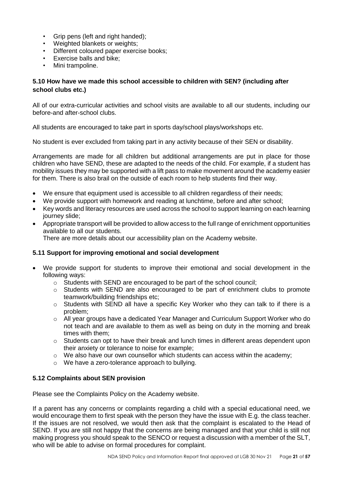- Grip pens (left and right handed):
- Weighted blankets or weights;
- Different coloured paper exercise books;
- Exercise balls and bike;
- Mini trampoline.

## <span id="page-20-0"></span>**5.10 How have we made this school accessible to children with SEN? (including after school clubs etc.)**

All of our extra-curricular activities and school visits are available to all our students, including our before-and after-school clubs.

All students are encouraged to take part in sports day/school plays/workshops etc.

No student is ever excluded from taking part in any activity because of their SEN or disability.

Arrangements are made for all children but additional arrangements are put in place for those children who have SEND, these are adapted to the needs of the child. For example, if a student has mobility issues they may be supported with a lift pass to make movement around the academy easier for them. There is also brail on the outside of each room to help students find their way.

- We ensure that equipment used is accessible to all children regardless of their needs;
- We provide support with homework and reading at lunchtime, before and after school;
- Key words and literacy resources are used across the school to support learning on each learning journey slide;
- Appropriate transport will be provided to allow access to the full range of enrichment opportunities available to all our students.

There are more details about our accessibility plan on the Academy website.

## <span id="page-20-1"></span>**5.11 Support for improving emotional and social development**

- We provide support for students to improve their emotional and social development in the following ways:
	- o Students with SEND are encouraged to be part of the school council;
	- $\circ$  Students with SEND are also encouraged to be part of enrichment clubs to promote teamwork/building friendships etc;
	- o Students with SEND all have a specific Key Worker who they can talk to if there is a problem;
	- o All year groups have a dedicated Year Manager and Curriculum Support Worker who do not teach and are available to them as well as being on duty in the morning and break times with them;
	- $\circ$  Students can opt to have their break and lunch times in different areas dependent upon their anxiety or tolerance to noise for example;
	- $\circ$  We also have our own counsellor which students can access within the academy;
	- o We have a zero-tolerance approach to bullying.

## <span id="page-20-2"></span>**5.12 Complaints about SEN provision**

Please see the Complaints Policy on the Academy website.

If a parent has any concerns or complaints regarding a child with a special educational need, we would encourage them to first speak with the person they have the issue with E.g. the class teacher. If the issues are not resolved, we would then ask that the complaint is escalated to the Head of SEND. If you are still not happy that the concerns are being managed and that your child is still not making progress you should speak to the SENCO or request a discussion with a member of the SLT, who will be able to advise on formal procedures for complaint.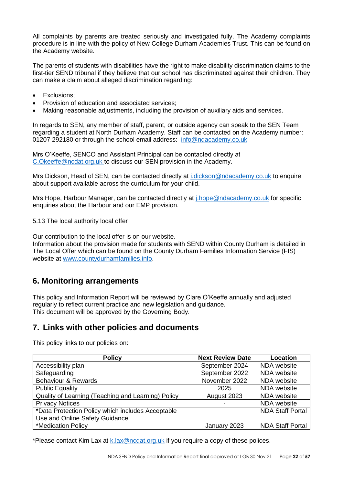All complaints by parents are treated seriously and investigated fully. The Academy complaints procedure is in line with the policy of New College Durham Academies Trust. This can be found on the Academy website.

The parents of students with disabilities have the right to make disability discrimination claims to the first-tier SEND tribunal if they believe that our school has discriminated against their children. They can make a claim about alleged discrimination regarding:

- Exclusions:
- Provision of education and associated services;
- Making reasonable adjustments, including the provision of auxiliary aids and services.

In regards to SEN, any member of staff, parent, or outside agency can speak to the SEN Team regarding a student at North Durham Academy. Staff can be contacted on the Academy number: 01207 292180 or through the school email address: [info@ndacademy.co.uk](mailto:info@ndacademy.co.uk)

Mrs O'Keeffe, SENCO and Assistant Principal can be contacted directly at [C.Okeeffe@ncdat.org.uk](mailto:C.Okeeffe@ncdat.org.uk) to discuss our SEN provision in the Academy.

Mrs Dickson, Head of SEN, can be contacted directly at [i.dickson@ndacademy.co.uk](mailto:i.dickson@ndacademy.co.uk) to enquire about support available across the curriculum for your child.

Mrs Hope, Harbour Manager, can be contacted directly at *j.hope@ndacademy.co.uk* for specific enquiries about the Harbour and our EMP provision.

<span id="page-21-0"></span>5.13 The local authority local offer

Our contribution to the local offer is on our website.

Information about the provision made for students with SEND within County Durham is detailed in The Local Offer which can be found on the County Durham Families Information Service (FIS) website at [www.countydurhamfamilies.info.](http://www.countydurhamfamilies.info/)

# <span id="page-21-1"></span>**6. Monitoring arrangements**

This policy and Information Report will be reviewed by Clare O'Keeffe annually and adjusted regularly to reflect current practice and new legislation and guidance. This document will be approved by the Governing Body.

# <span id="page-21-2"></span>**7. Links with other policies and documents**

This policy links to our policies on:

| <b>Policy</b>                                      | <b>Next Review Date</b> | Location                |
|----------------------------------------------------|-------------------------|-------------------------|
| Accessibility plan                                 | September 2024          | NDA website             |
| Safeguarding                                       | September 2022          | NDA website             |
| Behaviour & Rewards                                | November 2022           | NDA website             |
| <b>Public Equality</b>                             | 2025                    | NDA website             |
| Quality of Learning (Teaching and Learning) Policy | August 2023             | NDA website             |
| <b>Privacy Notices</b>                             | -                       | NDA website             |
| *Data Protection Policy which includes Acceptable  |                         | <b>NDA Staff Portal</b> |
| Use and Online Safety Guidance                     |                         |                         |
| *Medication Policy                                 | January 2023            | <b>NDA Staff Portal</b> |

\*Please contact Kim Lax at [k.lax@ncdat.org.uk](mailto:k.lax@ncdat.org.uk) if you require a copy of these polices.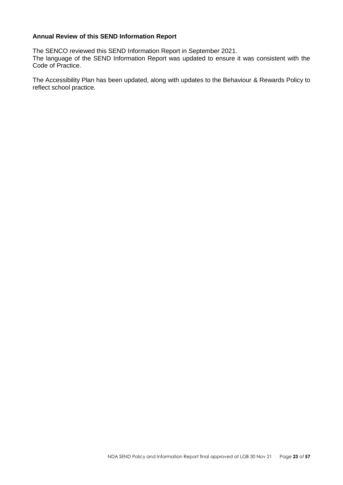#### **Annual Review of this SEND Information Report**

The SENCO reviewed this SEND Information Report in September 2021. The language of the SEND Information Report was updated to ensure it was consistent with the Code of Practice.

The Accessibility Plan has been updated, along with updates to the Behaviour & Rewards Policy to reflect school practice.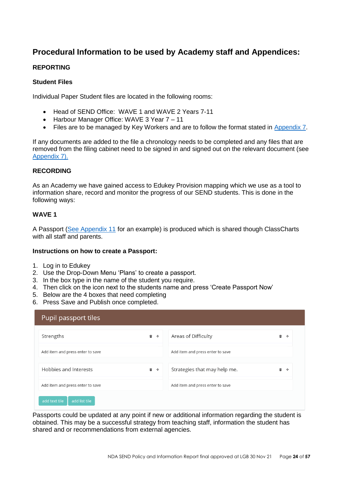# **Procedural Information to be used by Academy staff and Appendices:**

## **REPORTING**

#### **Student Files**

Individual Paper Student files are located in the following rooms:

- Head of SEND Office: WAVE 1 and WAVE 2 Years 7-11
- Harbour Manager Office: WAVE 3 Year 7 11
- Files are to be managed by Key Workers and are to follow the format stated in [Appendix 7.](#page-43-0)

If any documents are added to the file a chronology needs to be completed and any files that are removed from the filing cabinet need to be signed in and signed out on the relevant document (see [Appendix 7\).](#page-43-0)

#### **RECORDING**

As an Academy we have gained access to Edukey Provision mapping which we use as a tool to information share, record and monitor the progress of our SEND students. This is done in the following ways:

#### **WAVE 1**

A Passport [\(See Appendix 11](#page-56-0) for an example) is produced which is shared though ClassCharts with all staff and parents.

#### **Instructions on how to create a Passport:**

- 1. Log in to Edukey
- 2. Use the Drop-Down Menu 'Plans' to create a passport.
- 3. In the box type in the name of the student you require.
- 4. Then click on the icon next to the students name and press 'Create Passport Now'
- 5. Below are the 4 boxes that need completing
- 6. Press Save and Publish once completed.

| Pupil passport tiles             |     |                                  |             |  |
|----------------------------------|-----|----------------------------------|-------------|--|
| Strengths                        | 亩 中 | Areas of Difficulty              | 而<br>$\div$ |  |
| Add item and press enter to save |     | Add item and press enter to save |             |  |
| Hobbies and Interests            | 面 中 | Strategies that may help me.     | 亩<br>$\div$ |  |
| Add item and press enter to save |     | Add item and press enter to save |             |  |
| add text tile<br>add list tile   |     |                                  |             |  |

Passports could be updated at any point if new or additional information regarding the student is obtained. This may be a successful strategy from teaching staff, information the student has shared and or recommendations from external agencies.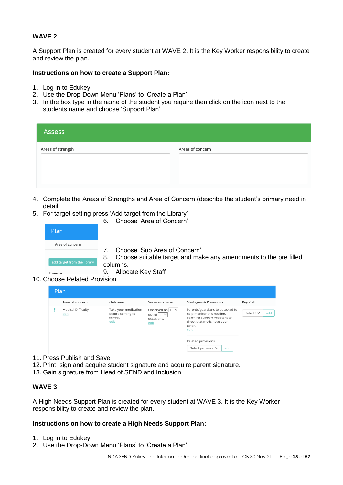## **WAVE 2**

A Support Plan is created for every student at WAVE 2. It is the Key Worker responsibility to create and review the plan.

#### **Instructions on how to create a Support Plan:**

- 1. Log in to Edukey
- 2. Use the Drop-Down Menu 'Plans' to 'Create a Plan'.
- 3. In the box type in the name of the student you require then click on the icon next to the students name and choose 'Support Plan'

| Assess            |                  |
|-------------------|------------------|
| Areas of strength | Areas of concern |

- 4. Complete the Areas of Strengths and Area of Concern (describe the student's primary need in detail.
- 5. For target setting press 'Add target from the Library'
	- 6. Choose 'Area of Concern'

| Plan.                       |                                                                                |
|-----------------------------|--------------------------------------------------------------------------------|
| Area of concern             |                                                                                |
|                             | Choose 'Sub Area of Concern'                                                   |
| add target from the library | 8. Choose suitable target and make any amendments to the prefilled<br>columns. |
|                             | Allocate Key Staff<br>9.                                                       |
| Choose Related Provision    |                                                                                |

10. Choose Related Provision

|  | Plan                              |                                                             |                                                                     |                                                                                                                                                |                          |
|--|-----------------------------------|-------------------------------------------------------------|---------------------------------------------------------------------|------------------------------------------------------------------------------------------------------------------------------------------------|--------------------------|
|  | Area of concern                   | Outcome                                                     | Success criteria                                                    | <b>Strategies &amp; Provisions</b>                                                                                                             | Key staff                |
|  | <b>Medical Difficulty</b><br>edit | Take your medication<br>before coming to<br>school.<br>edit | Observed on $ 1 \times$<br>out of $ 1 \times$<br>occasions.<br>edit | Parents/guardians to be asked to<br>help monitor this routine.<br>Learning Support Assistant to<br>check that meds have been<br>taken.<br>edit | add<br>Select $1$ $\vee$ |
|  |                                   |                                                             |                                                                     | Related provisions<br>Select provision $\blacktriangledown$<br>add                                                                             |                          |

- 11. Press Publish and Save
- 12. Print, sign and acquire student signature and acquire parent signature.
- 13. Gain signature from Head of SEND and Inclusion

#### **WAVE 3**

A High Needs Support Plan is created for every student at WAVE 3. It is the Key Worker responsibility to create and review the plan.

#### **Instructions on how to create a High Needs Support Plan:**

- 1. Log in to Edukey
- 2. Use the Drop-Down Menu 'Plans' to 'Create a Plan'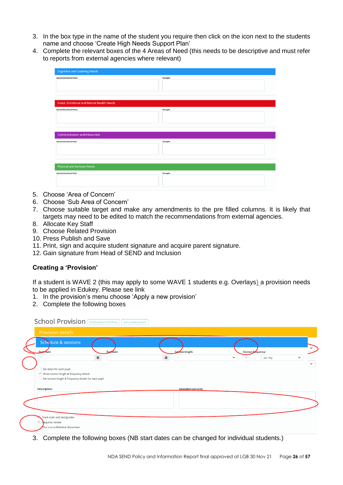- 3. In the box type in the name of the student you require then click on the icon next to the students name and choose 'Create High Needs Support Plan'
- 4. Complete the relevant boxes of the 4 Areas of Need (this needs to be descriptive and must refer to reports from external agencies where relevant)

| <b>Cognition and Learning Needs</b>                                           |                  |  |  |  |
|-------------------------------------------------------------------------------|------------------|--|--|--|
| <b>Special Educational Needs</b><br>Social, Emotional and Mental Health Needs | <b>Strengths</b> |  |  |  |
| <b>Special Educational Needs</b>                                              | <b>Strengths</b> |  |  |  |
| Communication and Interaction                                                 |                  |  |  |  |
| <b>Special Educational Need</b>                                               | Strengths        |  |  |  |
| Physical and Sensory Needs                                                    |                  |  |  |  |
| <b>Special Educational Need</b>                                               | Strengths        |  |  |  |

- 5. Choose 'Area of Concern'
- 6. Choose 'Sub Area of Concern'
- 7. Choose suitable target and make any amendments to the pre filled columns. It is likely that targets may need to be edited to match the recommendations from external agencies.
- 8. Allocate Key Staff
- 9. Choose Related Provision
- 10. Press Publish and Save
- 11. Print, sign and acquire student signature and acquire parent signature.
- 12. Gain signature from Head of SEND and Inclusion

## **Creating a 'Provision'**

If a student is WAVE 2 (this may apply to some WAVE 1 students e.g. Overlays) a provision needs to be applied in Edukey. Please see link

- 1. In the provision's menu choose 'Apply a new provision'
- 2. Complete the following boxes

| <b>Provision details</b>                                   |           |                   |                         |              |
|------------------------------------------------------------|-----------|-------------------|-------------------------|--------------|
| Schedule & sessions                                        |           |                   |                         |              |
| Start date:                                                | End date: | Session length:   | Session frequency:      | $\checkmark$ |
|                                                            | 曲         | 齒<br>$\sim$       | per day<br>$\checkmark$ | $\checkmark$ |
| Set dates for each pupil                                   |           |                   |                         | $\checkmark$ |
| $\vee$ Show session length & frequency details             |           |                   |                         |              |
| Set session length & frequency details for each pupil      |           |                   |                         |              |
| Description:                                               |           | Intended outcome: |                         |              |
|                                                            |           |                   |                         |              |
|                                                            |           |                   |                         |              |
|                                                            |           |                   |                         |              |
| Track start and end grades                                 |           |                   |                         |              |
|                                                            |           |                   |                         |              |
| $\vee$ Requires review<br>This is a confidential document. |           |                   |                         |              |

3. Complete the following boxes (NB start dates can be changed for individual students.)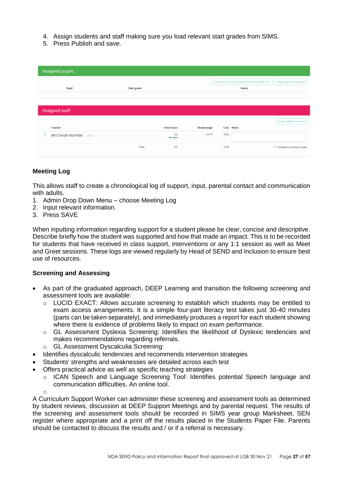- 4. Assign students and staff making sure you load relevant start grades from SIMS.
- 5. Press Publish and save.

| Assigned pupils        |             |                    |             |                                                                    |                                   |
|------------------------|-------------|--------------------|-------------|--------------------------------------------------------------------|-----------------------------------|
| Pupil                  | Start grade |                    |             | load start grades and pupil fields from SIMS, etc.<br><b>Notes</b> | assign pupils to provision        |
| Assigned staff         |             |                    |             |                                                                    |                                   |
|                        |             |                    |             |                                                                    | assign staff to provision         |
| Teacher                |             | <b>Total hours</b> | Hourly wage | Cost Notes                                                         |                                   |
| Mrs Sarah Norman SENCo |             | 0.0<br>set custom  | 33.77       | 0.00                                                               |                                   |
|                        | Total:      | 0.0                |             | 0.00                                                               | $\vee$ Include in provision costs |

## **Meeting Log**

This allows staff to create a chronological log of support, input, parental contact and communication with adults.

- 1. Admin Drop Down Menu choose Meeting Log
- 2. Input relevant information.
- 3. Press SAVE

When inputting information regarding support for a student please be clear, concise and descriptive. Describe briefly how the student was supported and how that made an impact. This is to be recorded for students that have received in class support, interventions or any 1:1 session as well as Meet and Greet sessions. These logs are viewed regularly by Head of SEND and Inclusion to ensure best use of resources.

#### **Screening and Assessing**

- As part of the graduated approach, DEEP Learning and transition the following screening and assessment tools are available:
	- o LUCID EXACT: Allows accurate screening to establish which students may be entitled to exam access arrangements. It is a simple four-part literacy test takes just 30-40 minutes (parts can be taken separately), and immediately produces a report for each student showing where there is evidence of problems likely to impact on exam performance.
	- o GL Assessment Dyslexia Screening: Identifies the likelihood of Dyslexic tendencies and makes recommendations regarding referrals.
	- o GL Assessment Dyscalculia Screening:
- Identifies dyscalculic tendencies and recommends intervention strategies
- Students' strengths and weaknesses are detailed across each test
- Offers practical advice as well as specific teaching strategies
	- o ICAN Speech and Language Screening Tool: Identifies potential Speech language and communication difficulties. An online tool.

o

A Curriculum Support Worker can administer these screening and assessment tools as determined by student reviews, discussion at DEEP Support Meetings and by parental request. The results of the screening and assessment tools should be recorded in SIMS year group Marksheet, SEN register where appropriate and a print off the results placed in the Students Paper File. Parents should be contacted to discuss the results and / or if a referral is necessary.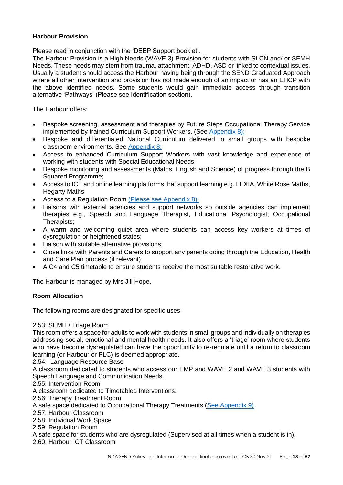## **Harbour Provision**

Please read in conjunction with the 'DEEP Support booklet'.

The Harbour Provision is a High Needs (WAVE 3) Provision for students with SLCN and/ or SEMH Needs. These needs may stem from trauma, attachment, ADHD, ASD or linked to contextual issues. Usually a student should access the Harbour having being through the SEND Graduated Approach where all other intervention and provision has not made enough of an impact or has an EHCP with the above identified needs. Some students would gain immediate access through transition alternative 'Pathways' (Please see Identification section).

The Harbour offers:

- Bespoke screening, assessment and therapies by Future Steps Occupational Therapy Service implemented by trained Curriculum Support Workers. (See [Appendix 8\);](#page-45-0)
- Bespoke and differentiated National Curriculum delivered in small groups with bespoke classroom environments. See [Appendix 8;](#page-45-0)
- Access to enhanced Curriculum Support Workers with vast knowledge and experience of working with students with Special Educational Needs;
- Bespoke monitoring and assessments (Maths, English and Science) of progress through the B Squared Programme;
- Access to ICT and online learning platforms that support learning e.g. LEXIA, White Rose Maths, Hegarty Maths;
- Access to a Regulation Room [\(Please see Appendix 8\);](#page-45-0)
- Liaisons with external agencies and support networks so outside agencies can implement therapies e.g., Speech and Language Therapist, Educational Psychologist, Occupational Therapists;
- A warm and welcoming quiet area where students can access key workers at times of dysregulation or heightened states;
- Liaison with suitable alternative provisions;
- Close links with Parents and Carers to support any parents going through the Education, Health and Care Plan process (if relevant);
- A C4 and C5 timetable to ensure students receive the most suitable restorative work.

The Harbour is managed by Mrs Jill Hope.

## **Room Allocation**

The following rooms are designated for specific uses:

## 2.53: SEMH / Triage Room

This room offers a space for adults to work with students in small groups and individually on therapies addressing social, emotional and mental health needs. It also offers a 'triage' room where students who have become dysregulated can have the opportunity to re-regulate until a return to classroom learning (or Harbour or PLC) is deemed appropriate.

2.54: Language Resource Base

A classroom dedicated to students who access our EMP and WAVE 2 and WAVE 3 students with Speech Language and Communication Needs.

2.55: Intervention Room

A classroom dedicated to Timetabled Interventions.

2.56: Therapy Treatment Room

- A safe space dedicated to Occupational Therapy Treatments [\(See Appendix 9\)](#page-52-0)
- 2.57: Harbour Classroom
- 2.58: Individual Work Space
- 2.59: Regulation Room

A safe space for students who are dysregulated (Supervised at all times when a student is in).

2.60: Harbour ICT Classroom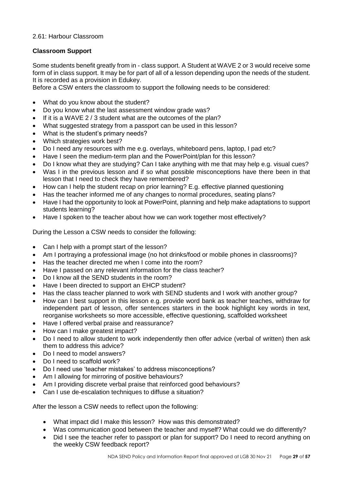## 2.61: Harbour Classroom

## **Classroom Support**

Some students benefit greatly from in - class support. A Student at WAVE 2 or 3 would receive some form of in class support. It may be for part of all of a lesson depending upon the needs of the student. It is recorded as a provision in Edukey.

Before a CSW enters the classroom to support the following needs to be considered:

- What do you know about the student?
- Do you know what the last assessment window grade was?
- If it is a WAVE 2 / 3 student what are the outcomes of the plan?
- What suggested strategy from a passport can be used in this lesson?
- What is the student's primary needs?
- Which strategies work best?
- Do I need any resources with me e.g. overlays, whiteboard pens, laptop, I pad etc?
- Have I seen the medium-term plan and the PowerPoint/plan for this lesson?
- Do I know what they are studying? Can I take anything with me that may help e.g. visual cues?
- Was I in the previous lesson and if so what possible misconceptions have there been in that lesson that I need to check they have remembered?
- How can I help the student recap on prior learning? E.g. effective planned questioning
- Has the teacher informed me of any changes to normal procedures, seating plans?
- Have I had the opportunity to look at PowerPoint, planning and help make adaptations to support students learning?
- Have I spoken to the teacher about how we can work together most effectively?

During the Lesson a CSW needs to consider the following:

- Can I help with a prompt start of the lesson?
- Am I portraying a professional image (no hot drinks/food or mobile phones in classrooms)?
- Has the teacher directed me when I come into the room?
- Have I passed on any relevant information for the class teacher?
- Do I know all the SEND students in the room?
- Have I been directed to support an EHCP student?
- Has the class teacher planned to work with SEND students and I work with another group?
- How can I best support in this lesson e.g. provide word bank as teacher teaches, withdraw for independent part of lesson, offer sentences starters in the book highlight key words in text, reorganise worksheets so more accessible, effective questioning, scaffolded worksheet
- Have I offered verbal praise and reassurance?
- How can I make greatest impact?
- Do I need to allow student to work independently then offer advice (verbal of written) then ask them to address this advice?
- Do I need to model answers?
- Do I need to scaffold work?
- Do I need use 'teacher mistakes' to address misconceptions?
- Am I allowing for mirroring of positive behaviours?
- Am I providing discrete verbal praise that reinforced good behaviours?
- Can I use de-escalation techniques to diffuse a situation?

After the lesson a CSW needs to reflect upon the following:

- What impact did I make this lesson? How was this demonstrated?
- Was communication good between the teacher and myself? What could we do differently?
- Did I see the teacher refer to passport or plan for support? Do I need to record anything on the weekly CSW feedback report?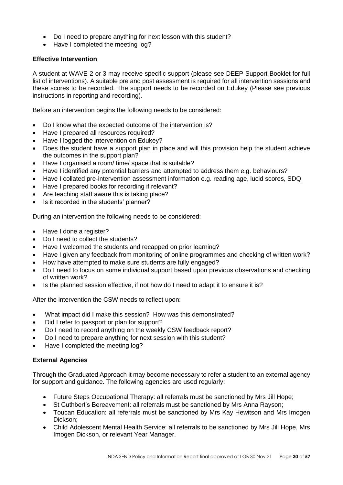- Do I need to prepare anything for next lesson with this student?
- Have I completed the meeting log?

## **Effective Intervention**

A student at WAVE 2 or 3 may receive specific support (please see DEEP Support Booklet for full list of interventions). A suitable pre and post assessment is required for all intervention sessions and these scores to be recorded. The support needs to be recorded on Edukey (Please see previous instructions in reporting and recording).

Before an intervention begins the following needs to be considered:

- Do I know what the expected outcome of the intervention is?
- Have I prepared all resources required?
- Have I logged the intervention on Edukey?
- Does the student have a support plan in place and will this provision help the student achieve the outcomes in the support plan?
- Have I organised a room/ time/ space that is suitable?
- Have I identified any potential barriers and attempted to address them e.g. behaviours?
- Have I collated pre-intervention assessment information e.g. reading age, lucid scores, SDQ
- Have I prepared books for recording if relevant?
- Are teaching staff aware this is taking place?
- Is it recorded in the students' planner?

During an intervention the following needs to be considered:

- Have I done a register?
- Do I need to collect the students?
- Have I welcomed the students and recapped on prior learning?
- Have I given any feedback from monitoring of online programmes and checking of written work?
- How have attempted to make sure students are fully engaged?
- Do I need to focus on some individual support based upon previous observations and checking of written work?
- Is the planned session effective, if not how do I need to adapt it to ensure it is?

After the intervention the CSW needs to reflect upon:

- What impact did I make this session? How was this demonstrated?
- Did I refer to passport or plan for support?
- Do I need to record anything on the weekly CSW feedback report?
- Do I need to prepare anything for next session with this student?
- Have I completed the meeting log?

#### **External Agencies**

Through the Graduated Approach it may become necessary to refer a student to an external agency for support and guidance. The following agencies are used regularly:

- Future Steps Occupational Therapy: all referrals must be sanctioned by Mrs Jill Hope;
- St Cuthbert's Bereavement: all referrals must be sanctioned by Mrs Anna Rayson;
- Toucan Education: all referrals must be sanctioned by Mrs Kay Hewitson and Mrs Imogen Dickson;
- Child Adolescent Mental Health Service: all referrals to be sanctioned by Mrs Jill Hope, Mrs Imogen Dickson, or relevant Year Manager.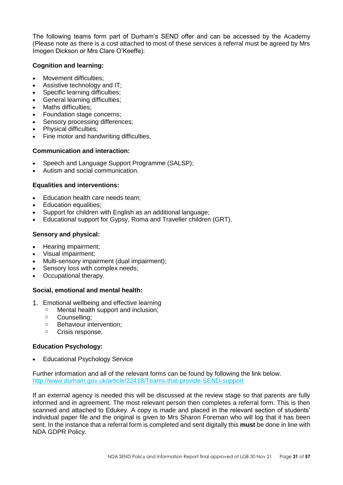The following teams form part of Durham's SEND offer and can be accessed by the Academy (Please note as there is a cost attached to most of these services a referral must be agreed by Mrs Imogen Dickson or Mrs Clare O'Keeffe):

#### **Cognition and learning:**

- Movement difficulties;
- Assistive technology and IT;
- Specific learning difficulties;
- General learning difficulties;
- Maths difficulties:
- Foundation stage concerns;
- Sensory processing differences;
- Physical difficulties;
- Fine motor and handwriting difficulties.

## **Communication and interaction:**

- Speech and Language Support Programme (SALSP);
- Autism and social communication.

## **Equalities and interventions:**

- Education health care needs team;
- Education equalities;
- [Support for children with English as an additional language;](http://www.durham.gov.uk/article/2982/Support-for-children-with-English-as-an-additional-language)
- [Educational support for Gypsy, Roma and Traveller children \(GRT\).](http://www.durham.gov.uk/article/3779/Educational-support)

## **Sensory and physical:**

- Hearing impairment;
- Visual impairment;
- Multi-sensory impairment (dual impairment);
- Sensory loss with complex needs:
- Occupational therapy.

## **Social, emotional and mental health:**

- 1. Emotional wellbeing and effective learning
	- o Mental health support and inclusion;
	- o Counselling;
	- o Behaviour intervention;
	- o Crisis response.

## **Education Psychology:**

• Educational Psychology Service

Further information and all of the relevant forms can be found by following the link below. <http://www.durham.gov.uk/article/22418/Teams-that-provide-SEND-support>

If an external agency is needed this will be discussed at the review stage so that parents are fully informed and in agreement. The most relevant person then completes a referral form. This is then scanned and attached to Edukey. A copy is made and placed in the relevant section of students' individual paper file and the original is given to Mrs Sharon Foreman who will log that it has been sent. In the instance that a referral form is completed and sent digitally this **must** be done in line with NDA GDPR Policy.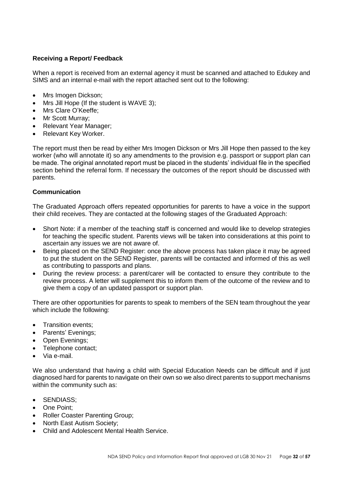## **Receiving a Report/ Feedback**

When a report is received from an external agency it must be scanned and attached to Edukey and SIMS and an internal e-mail with the report attached sent out to the following:

- Mrs Imogen Dickson:
- Mrs Jill Hope (If the student is WAVE 3);
- Mrs Clare O'Keeffe;
- Mr Scott Murray:
- Relevant Year Manager;
- Relevant Key Worker.

The report must then be read by either Mrs Imogen Dickson or Mrs Jill Hope then passed to the key worker (who will annotate it) so any amendments to the provision e.g. passport or support plan can be made. The original annotated report must be placed in the students' individual file in the specified section behind the referral form. If necessary the outcomes of the report should be discussed with parents.

#### **Communication**

The Graduated Approach offers repeated opportunities for parents to have a voice in the support their child receives. They are contacted at the following stages of the Graduated Approach:

- Short Note: if a member of the teaching staff is concerned and would like to develop strategies for teaching the specific student. Parents views will be taken into considerations at this point to ascertain any issues we are not aware of.
- Being placed on the SEND Register: once the above process has taken place it may be agreed to put the student on the SEND Register, parents will be contacted and informed of this as well as contributing to passports and plans.
- During the review process: a parent/carer will be contacted to ensure they contribute to the review process. A letter will supplement this to inform them of the outcome of the review and to give them a copy of an updated passport or support plan.

There are other opportunities for parents to speak to members of the SEN team throughout the year which include the following:

- Transition events:
- Parents' Evenings;
- Open Evenings;
- Telephone contact;
- Via e-mail.

We also understand that having a child with Special Education Needs can be difficult and if just diagnosed hard for parents to navigate on their own so we also direct parents to support mechanisms within the community such as:

- SENDIASS;
- One Point;
- Roller Coaster Parenting Group;
- North East Autism Society;
- Child and Adolescent Mental Health Service.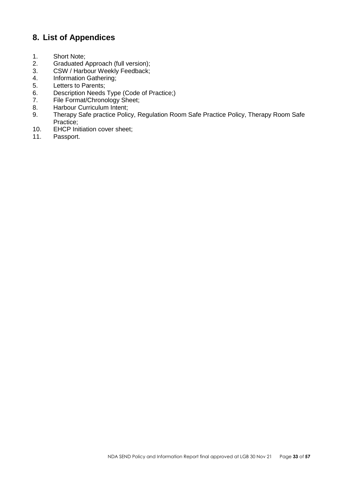# <span id="page-32-0"></span>**8. List of Appendices**

- 1. Short Note;
- 2. Graduated Approach (full version);
- 3. CSW / Harbour Weekly Feedback;
- 4. Information Gathering;
- 5. Letters to Parents;<br>6. Description Needs
- Description Needs Type (Code of Practice;)
- 7. File Format/Chronology Sheet;
- 8. Harbour Curriculum Intent;
- 9. Therapy Safe practice Policy, Regulation Room Safe Practice Policy, Therapy Room Safe Practice;
- 10. EHCP Initiation cover sheet;<br>11. Passport.
- Passport.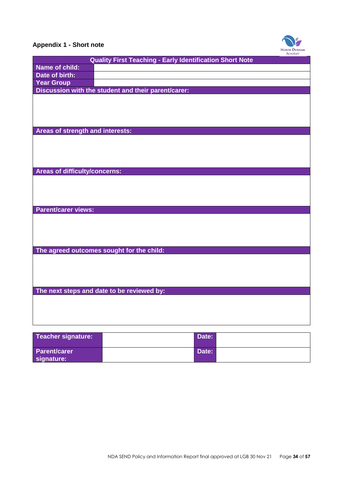

# <span id="page-33-0"></span>**Appendix 1 - Short note**

| <b>Quality First Teaching - Early Identification Short Note</b> |  |
|-----------------------------------------------------------------|--|
| Name of child:                                                  |  |
| Date of birth:                                                  |  |
| <b>Year Group</b>                                               |  |
| Discussion with the student and their parent/carer:             |  |
|                                                                 |  |
|                                                                 |  |
|                                                                 |  |
|                                                                 |  |
| Areas of strength and interests:                                |  |
|                                                                 |  |
|                                                                 |  |
|                                                                 |  |
|                                                                 |  |
| Areas of difficulty/concerns:                                   |  |
|                                                                 |  |
|                                                                 |  |
|                                                                 |  |
| <b>Parent/carer views:</b>                                      |  |
|                                                                 |  |
|                                                                 |  |
|                                                                 |  |
|                                                                 |  |
| The agreed outcomes sought for the child:                       |  |
|                                                                 |  |
|                                                                 |  |
|                                                                 |  |
|                                                                 |  |
| The next steps and date to be reviewed by:                      |  |
|                                                                 |  |
|                                                                 |  |
|                                                                 |  |
|                                                                 |  |
|                                                                 |  |

| Teacher signature:                | Date: |  |
|-----------------------------------|-------|--|
| <b>Parent/carer</b><br>signature: | Date: |  |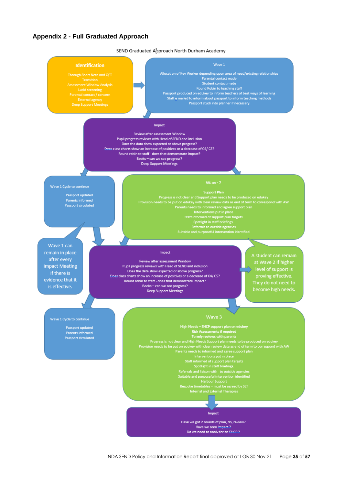#### <span id="page-34-0"></span>**Appendix 2 - Full Graduated Approach**

SEND Graduated Approach North Durham Academy

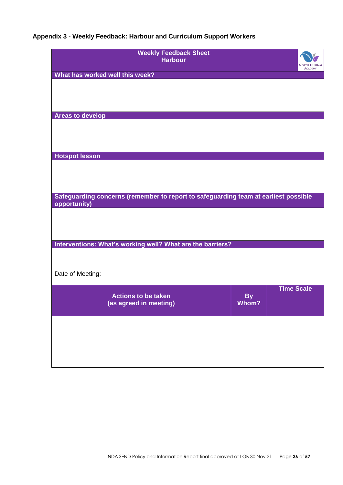# <span id="page-35-0"></span>**Appendix 3 - Weekly Feedback: Harbour and Curriculum Support Workers**

| <b>Weekly Feedback Sheet</b><br><b>Harbour</b>                                      |           | <b>NORTH DURHAM</b><br><b>ACADEMY</b> |
|-------------------------------------------------------------------------------------|-----------|---------------------------------------|
| What has worked well this week?                                                     |           |                                       |
|                                                                                     |           |                                       |
|                                                                                     |           |                                       |
| <b>Areas to develop</b>                                                             |           |                                       |
|                                                                                     |           |                                       |
|                                                                                     |           |                                       |
|                                                                                     |           |                                       |
| <b>Hotspot lesson</b>                                                               |           |                                       |
|                                                                                     |           |                                       |
|                                                                                     |           |                                       |
| Safeguarding concerns (remember to report to safeguarding team at earliest possible |           |                                       |
| opportunity)                                                                        |           |                                       |
|                                                                                     |           |                                       |
|                                                                                     |           |                                       |
|                                                                                     |           |                                       |
| Interventions: What's working well? What are the barriers?                          |           |                                       |
|                                                                                     |           |                                       |
| Date of Meeting:                                                                    |           |                                       |
|                                                                                     |           | <b>Time Scale</b>                     |
| <b>Actions to be taken</b>                                                          | <b>By</b> |                                       |
| (as agreed in meeting)                                                              | Whom?     |                                       |
|                                                                                     |           |                                       |
|                                                                                     |           |                                       |
|                                                                                     |           |                                       |
|                                                                                     |           |                                       |
|                                                                                     |           |                                       |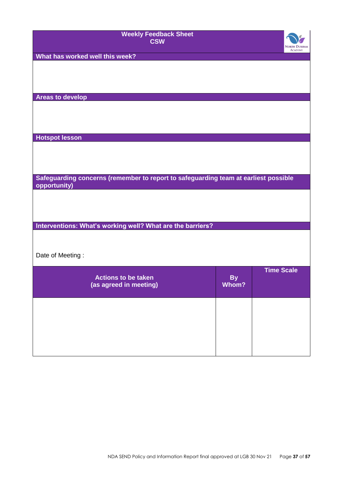| <b>Weekly Feedback Sheet</b><br><b>CSW</b>                                                          |           | <b>NORTH DURHAM</b><br><b>ACADEMY</b> |
|-----------------------------------------------------------------------------------------------------|-----------|---------------------------------------|
| What has worked well this week?                                                                     |           |                                       |
|                                                                                                     |           |                                       |
|                                                                                                     |           |                                       |
| <b>Areas to develop</b>                                                                             |           |                                       |
|                                                                                                     |           |                                       |
|                                                                                                     |           |                                       |
| <b>Hotspot lesson</b>                                                                               |           |                                       |
|                                                                                                     |           |                                       |
|                                                                                                     |           |                                       |
|                                                                                                     |           |                                       |
| Safeguarding concerns (remember to report to safeguarding team at earliest possible<br>opportunity) |           |                                       |
|                                                                                                     |           |                                       |
|                                                                                                     |           |                                       |
| Interventions: What's working well? What are the barriers?                                          |           |                                       |
|                                                                                                     |           |                                       |
|                                                                                                     |           |                                       |
| Date of Meeting:                                                                                    |           |                                       |
| <b>Actions to be taken</b>                                                                          | <b>By</b> | <b>Time Scale</b>                     |
| (as agreed in meeting)                                                                              | Whom?     |                                       |
|                                                                                                     |           |                                       |
|                                                                                                     |           |                                       |
|                                                                                                     |           |                                       |
|                                                                                                     |           |                                       |
|                                                                                                     |           |                                       |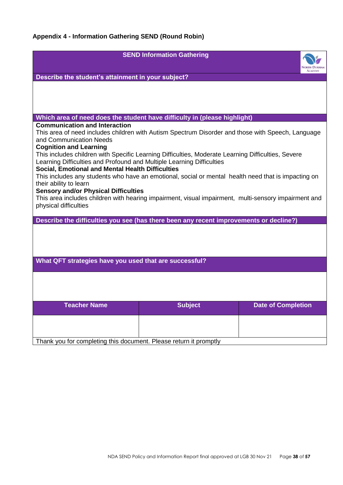<span id="page-37-0"></span>

|                                                                                                                               | <b>SEND Information Gathering</b> |                           |
|-------------------------------------------------------------------------------------------------------------------------------|-----------------------------------|---------------------------|
|                                                                                                                               |                                   | <b>ACADEMY</b>            |
| Describe the student's attainment in your subject?                                                                            |                                   |                           |
|                                                                                                                               |                                   |                           |
|                                                                                                                               |                                   |                           |
|                                                                                                                               |                                   |                           |
| Which area of need does the student have difficulty in (please highlight)                                                     |                                   |                           |
| <b>Communication and Interaction</b>                                                                                          |                                   |                           |
| This area of need includes children with Autism Spectrum Disorder and those with Speech, Language                             |                                   |                           |
| and Communication Needs<br><b>Cognition and Learning</b>                                                                      |                                   |                           |
| This includes children with Specific Learning Difficulties, Moderate Learning Difficulties, Severe                            |                                   |                           |
| Learning Difficulties and Profound and Multiple Learning Difficulties                                                         |                                   |                           |
| Social, Emotional and Mental Health Difficulties                                                                              |                                   |                           |
| This includes any students who have an emotional, social or mental health need that is impacting on<br>their ability to learn |                                   |                           |
| <b>Sensory and/or Physical Difficulties</b>                                                                                   |                                   |                           |
| This area includes children with hearing impairment, visual impairment, multi-sensory impairment and                          |                                   |                           |
| physical difficulties                                                                                                         |                                   |                           |
| Describe the difficulties you see (has there been any recent improvements or decline?)                                        |                                   |                           |
|                                                                                                                               |                                   |                           |
|                                                                                                                               |                                   |                           |
|                                                                                                                               |                                   |                           |
|                                                                                                                               |                                   |                           |
| What QFT strategies have you used that are successful?                                                                        |                                   |                           |
|                                                                                                                               |                                   |                           |
|                                                                                                                               |                                   |                           |
|                                                                                                                               |                                   |                           |
| <b>Teacher Name</b>                                                                                                           | <b>Subject</b>                    | <b>Date of Completion</b> |
|                                                                                                                               |                                   |                           |
|                                                                                                                               |                                   |                           |
|                                                                                                                               |                                   |                           |
| Thank you for completing this document. Please return it promptly                                                             |                                   |                           |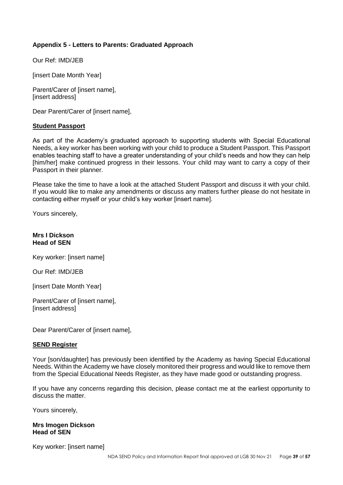## <span id="page-38-0"></span>**Appendix 5 - Letters to Parents: Graduated Approach**

Our Ref: IMD/JEB

[insert Date Month Year]

Parent/Carer of [insert name], [insert address]

Dear Parent/Carer of [insert name],

#### **Student Passport**

As part of the Academy's graduated approach to supporting students with Special Educational Needs, a key worker has been working with your child to produce a Student Passport. This Passport enables teaching staff to have a greater understanding of your child's needs and how they can help [him/her] make continued progress in their lessons. Your child may want to carry a copy of their Passport in their planner.

Please take the time to have a look at the attached Student Passport and discuss it with your child. If you would like to make any amendments or discuss any matters further please do not hesitate in contacting either myself or your child's key worker [insert name].

Yours sincerely,

#### **Mrs I Dickson Head of SEN**

Key worker: [insert name]

Our Ref: IMD/JEB

[insert Date Month Year]

Parent/Carer of [insert name], [insert address]

Dear Parent/Carer of [insert name],

#### **SEND Register**

Your [son/daughter] has previously been identified by the Academy as having Special Educational Needs. Within the Academy we have closely monitored their progress and would like to remove them from the Special Educational Needs Register, as they have made good or outstanding progress.

If you have any concerns regarding this decision, please contact me at the earliest opportunity to discuss the matter.

Yours sincerely,

#### **Mrs Imogen Dickson Head of SEN**

Key worker: [insert name]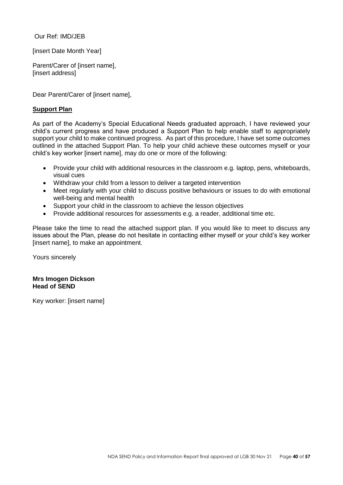Our Ref: IMD/JEB

[insert Date Month Year]

Parent/Carer of [insert name], [insert address]

Dear Parent/Carer of [insert name],

#### **Support Plan**

As part of the Academy's Special Educational Needs graduated approach, I have reviewed your child's current progress and have produced a Support Plan to help enable staff to appropriately support your child to make continued progress. As part of this procedure, I have set some outcomes outlined in the attached Support Plan. To help your child achieve these outcomes myself or your child's key worker [insert name], may do one or more of the following:

- Provide your child with additional resources in the classroom e.g. laptop, pens, whiteboards, visual cues
- Withdraw your child from a lesson to deliver a targeted intervention
- Meet regularly with your child to discuss positive behaviours or issues to do with emotional well-being and mental health
- Support your child in the classroom to achieve the lesson objectives
- Provide additional resources for assessments e.g. a reader, additional time etc.

Please take the time to read the attached support plan. If you would like to meet to discuss any issues about the Plan, please do not hesitate in contacting either myself or your child's key worker [insert name], to make an appointment.

Yours sincerely

#### **Mrs Imogen Dickson Head of SEND**

<span id="page-39-0"></span>Key worker: [insert name]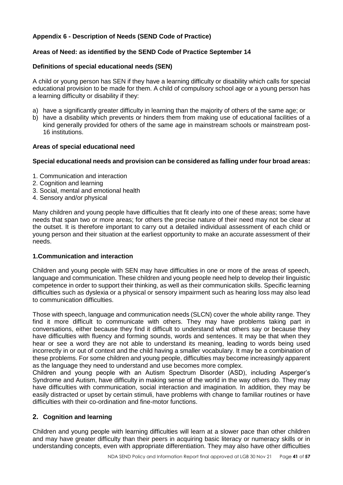## <span id="page-40-0"></span>**Appendix 6 - Description of Needs (SEND Code of Practice)**

## **Areas of Need: as identified by the SEND Code of Practice September 14**

#### **Definitions of special educational needs (SEN)**

A child or young person has SEN if they have a learning difficulty or disability which calls for special educational provision to be made for them. A child of compulsory school age or a young person has a learning difficulty or disability if they:

- a) have a significantly greater difficulty in learning than the majority of others of the same age; or
- b) have a disability which prevents or hinders them from making use of educational facilities of a kind generally provided for others of the same age in mainstream schools or mainstream post-16 institutions.

#### **Areas of special educational need**

#### **Special educational needs and provision can be considered as falling under four broad areas:**

- 1. Communication and interaction
- 2. Cognition and learning
- 3. Social, mental and emotional health
- 4. Sensory and/or physical

Many children and young people have difficulties that fit clearly into one of these areas; some have needs that span two or more areas; for others the precise nature of their need may not be clear at the outset. It is therefore important to carry out a detailed individual assessment of each child or young person and their situation at the earliest opportunity to make an accurate assessment of their needs.

#### **1.Communication and interaction**

Children and young people with SEN may have difficulties in one or more of the areas of speech, language and communication. These children and young people need help to develop their linguistic competence in order to support their thinking, as well as their communication skills. Specific learning difficulties such as dyslexia or a physical or sensory impairment such as hearing loss may also lead to communication difficulties.

Those with speech, language and communication needs (SLCN) cover the whole ability range. They find it more difficult to communicate with others. They may have problems taking part in conversations, either because they find it difficult to understand what others say or because they have difficulties with fluency and forming sounds, words and sentences. It may be that when they hear or see a word they are not able to understand its meaning, leading to words being used incorrectly in or out of context and the child having a smaller vocabulary. It may be a combination of these problems. For some children and young people, difficulties may become increasingly apparent as the language they need to understand and use becomes more complex.

Children and young people with an Autism Spectrum Disorder (ASD), including Asperger's Syndrome and Autism, have difficulty in making sense of the world in the way others do. They may have difficulties with communication, social interaction and imagination. In addition, they may be easily distracted or upset by certain stimuli, have problems with change to familiar routines or have difficulties with their co-ordination and fine-motor functions.

## **2. Cognition and learning**

Children and young people with learning difficulties will learn at a slower pace than other children and may have greater difficulty than their peers in acquiring basic literacy or numeracy skills or in understanding concepts, even with appropriate differentiation. They may also have other difficulties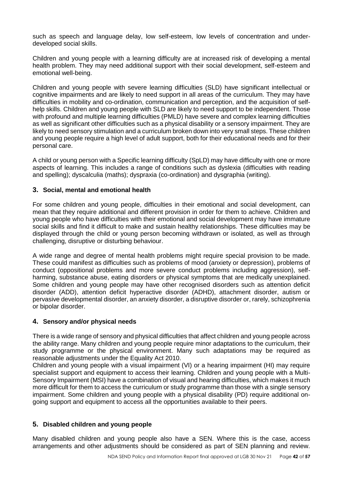such as speech and language delay, low self-esteem, low levels of concentration and underdeveloped social skills.

Children and young people with a learning difficulty are at increased risk of developing a mental health problem. They may need additional support with their social development, self-esteem and emotional well-being.

Children and young people with severe learning difficulties (SLD) have significant intellectual or cognitive impairments and are likely to need support in all areas of the curriculum. They may have difficulties in mobility and co-ordination, communication and perception, and the acquisition of selfhelp skills. Children and young people with SLD are likely to need support to be independent. Those with profound and multiple learning difficulties (PMLD) have severe and complex learning difficulties as well as significant other difficulties such as a physical disability or a sensory impairment. They are likely to need sensory stimulation and a curriculum broken down into very small steps. These children and young people require a high level of adult support, both for their educational needs and for their personal care.

A child or young person with a Specific learning difficulty (SpLD) may have difficulty with one or more aspects of learning. This includes a range of conditions such as dyslexia (difficulties with reading and spelling); dyscalculia (maths); dyspraxia (co-ordination) and dysgraphia (writing).

## **3. Social, mental and emotional health**

For some children and young people, difficulties in their emotional and social development, can mean that they require additional and different provision in order for them to achieve. Children and young people who have difficulties with their emotional and social development may have immature social skills and find it difficult to make and sustain healthy relationships. These difficulties may be displayed through the child or young person becoming withdrawn or isolated, as well as through challenging, disruptive or disturbing behaviour.

A wide range and degree of mental health problems might require special provision to be made. These could manifest as difficulties such as problems of mood (anxiety or depression), problems of conduct (oppositional problems and more severe conduct problems including aggression), selfharming, substance abuse, eating disorders or physical symptoms that are medically unexplained. Some children and young people may have other recognised disorders such as attention deficit disorder (ADD), attention deficit hyperactive disorder (ADHD), attachment disorder, autism or pervasive developmental disorder, an anxiety disorder, a disruptive disorder or, rarely, schizophrenia or bipolar disorder.

## **4. Sensory and/or physical needs**

There is a wide range of sensory and physical difficulties that affect children and young people across the ability range. Many children and young people require minor adaptations to the curriculum, their study programme or the physical environment. Many such adaptations may be required as reasonable adjustments under the Equality Act 2010.

Children and young people with a visual impairment (VI) or a hearing impairment (HI) may require specialist support and equipment to access their learning. Children and young people with a Multi-Sensory Impairment (MSI) have a combination of visual and hearing difficulties, which makes it much more difficult for them to access the curriculum or study programme than those with a single sensory impairment. Some children and young people with a physical disability (PD) require additional ongoing support and equipment to access all the opportunities available to their peers.

## **5. Disabled children and young people**

Many disabled children and young people also have a SEN. Where this is the case, access arrangements and other adjustments should be considered as part of SEN planning and review.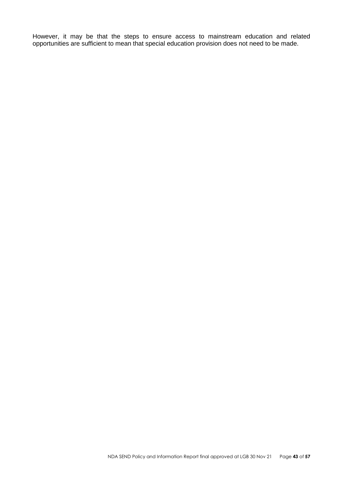However, it may be that the steps to ensure access to mainstream education and related opportunities are sufficient to mean that special education provision does not need to be made.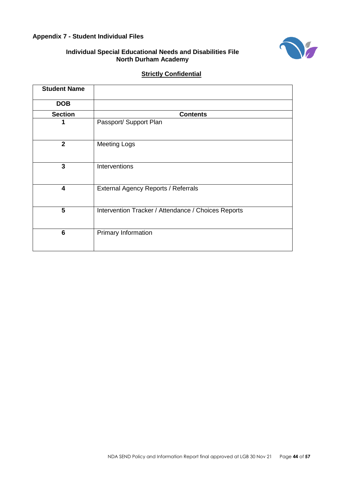## <span id="page-43-0"></span>**Appendix 7 - Student Individual Files**



## **Individual Special Educational Needs and Disabilities File North Durham Academy**

## **Strictly Confidential**

| <b>Student Name</b>     |                                                     |
|-------------------------|-----------------------------------------------------|
| <b>DOB</b>              |                                                     |
| <b>Section</b>          | <b>Contents</b>                                     |
| 1                       | Passport/ Support Plan                              |
| $\overline{2}$          | <b>Meeting Logs</b>                                 |
| 3                       | Interventions                                       |
| $\overline{\mathbf{4}}$ | External Agency Reports / Referrals                 |
| 5                       | Intervention Tracker / Attendance / Choices Reports |
| $6\phantom{1}6$         | Primary Information                                 |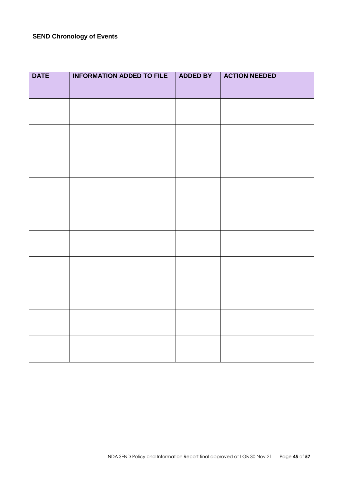# **SEND Chronology of Events**

| <b>DATE</b> | <b>INFORMATION ADDED TO FILE</b> | <b>ADDED BY</b> | <b>ACTION NEEDED</b> |
|-------------|----------------------------------|-----------------|----------------------|
|             |                                  |                 |                      |
|             |                                  |                 |                      |
|             |                                  |                 |                      |
|             |                                  |                 |                      |
|             |                                  |                 |                      |
|             |                                  |                 |                      |
|             |                                  |                 |                      |
|             |                                  |                 |                      |
|             |                                  |                 |                      |
|             |                                  |                 |                      |
|             |                                  |                 |                      |
|             |                                  |                 |                      |
|             |                                  |                 |                      |
|             |                                  |                 |                      |
|             |                                  |                 |                      |
|             |                                  |                 |                      |
|             |                                  |                 |                      |
|             |                                  |                 |                      |
|             |                                  |                 |                      |
|             |                                  |                 |                      |
|             |                                  |                 |                      |
|             |                                  |                 |                      |
|             |                                  |                 |                      |
|             |                                  |                 |                      |
|             |                                  |                 |                      |
|             |                                  |                 |                      |
|             |                                  |                 |                      |
|             |                                  |                 |                      |
|             |                                  |                 |                      |
|             |                                  |                 |                      |
|             |                                  |                 |                      |
|             |                                  |                 |                      |
|             |                                  |                 |                      |
|             |                                  |                 |                      |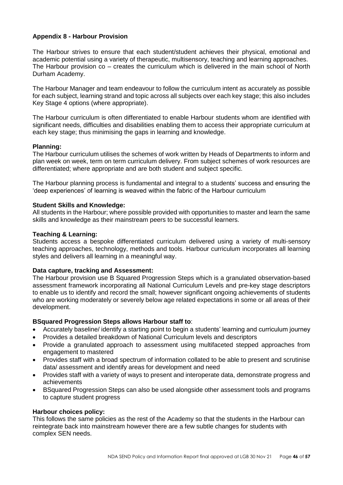## <span id="page-45-0"></span>**Appendix 8 - Harbour Provision**

The Harbour strives to ensure that each student/student achieves their physical, emotional and academic potential using a variety of therapeutic, multisensory, teaching and learning approaches. The Harbour provision co – creates the curriculum which is delivered in the main school of North Durham Academy.

The Harbour Manager and team endeavour to follow the curriculum intent as accurately as possible for each subject, learning strand and topic across all subjects over each key stage; this also includes Key Stage 4 options (where appropriate).

The Harbour curriculum is often differentiated to enable Harbour students whom are identified with significant needs, difficulties and disabilities enabling them to access their appropriate curriculum at each key stage; thus minimising the gaps in learning and knowledge.

#### **Planning:**

The Harbour curriculum utilises the schemes of work written by Heads of Departments to inform and plan week on week, term on term curriculum delivery. From subject schemes of work resources are differentiated; where appropriate and are both student and subject specific.

The Harbour planning process is fundamental and integral to a students' success and ensuring the 'deep experiences' of learning is weaved within the fabric of the Harbour curriculum

#### **Student Skills and Knowledge:**

All students in the Harbour; where possible provided with opportunities to master and learn the same skills and knowledge as their mainstream peers to be successful learners.

#### **Teaching & Learning:**

Students access a bespoke differentiated curriculum delivered using a variety of multi-sensory teaching approaches, technology, methods and tools. Harbour curriculum incorporates all learning styles and delivers all learning in a meaningful way.

#### **Data capture, tracking and Assessment:**

The Harbour provision use B Squared Progression Steps which is a granulated observation-based assessment framework incorporating all National Curriculum Levels and pre-key stage descriptors to enable us to identify and record the small; however significant ongoing achievements of students who are working moderately or severely below age related expectations in some or all areas of their development.

#### **BSquared Progression Steps allows Harbour staff to**:

- Accurately baseline/ identify a starting point to begin a students' learning and curriculum journey
- Provides a detailed breakdown of National Curriculum levels and descriptors
- Provide a granulated approach to assessment using multifaceted stepped approaches from engagement to mastered
- Provides staff with a broad spectrum of information collated to be able to present and scrutinise data/ assessment and identify areas for development and need
- Provides staff with a variety of ways to present and interoperate data, demonstrate progress and achievements
- BSquared Progression Steps can also be used alongside other assessment tools and programs to capture student progress

#### **Harbour choices policy:**

This follows the same policies as the rest of the Academy so that the students in the Harbour can reintegrate back into mainstream however there are a few subtle changes for students with complex SEN needs.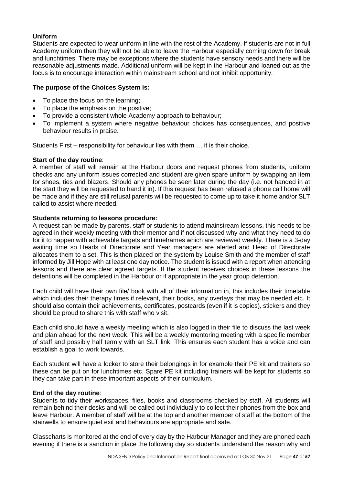## **Uniform**

Students are expected to wear uniform in line with the rest of the Academy. If students are not in full Academy uniform then they will not be able to leave the Harbour especially coming down for break and lunchtimes. There may be exceptions where the students have sensory needs and there will be reasonable adjustments made. Additional uniform will be kept in the Harbour and loaned out as the focus is to encourage interaction within mainstream school and not inhibit opportunity.

#### **The purpose of the Choices System is:**

- To place the focus on the learning;
- To place the emphasis on the positive;
- To provide a consistent whole Academy approach to behaviour;
- To implement a system where negative behaviour choices has consequences, and positive behaviour results in praise.

Students First – responsibility for behaviour lies with them … it is their choice.

#### **Start of the day routine**:

A member of staff will remain at the Harbour doors and request phones from students, uniform checks and any uniform issues corrected and student are given spare uniform by swapping an item for shoes, ties and blazers. Should any phones be seen later during the day (i.e. not handed in at the start they will be requested to hand it in). If this request has been refused a phone call home will be made and if they are still refusal parents will be requested to come up to take it home and/or SLT called to assist where needed.

#### **Students returning to lessons procedure:**

A request can be made by parents, staff or students to attend mainstream lessons, this needs to be agreed in their weekly meeting with their mentor and if not discussed why and what they need to do for it to happen with achievable targets and timeframes which are reviewed weekly. There is a 3-day waiting time so Heads of Directorate and Year managers are alerted and Head of Directorate allocates them to a set. This is then placed on the system by Louise Smith and the member of staff informed by Jill Hope with at least one day notice. The student is issued with a report when attending lessons and there are clear agreed targets. If the student receives choices in these lessons the detentions will be completed in the Harbour or if appropriate in the year group detention.

Each child will have their own file/ book with all of their information in, this includes their timetable which includes their therapy times if relevant, their books, any overlays that may be needed etc. It should also contain their achievements, certificates, postcards (even if it is copies), stickers and they should be proud to share this with staff who visit.

Each child should have a weekly meeting which is also logged in their file to discuss the last week and plan ahead for the next week. This will be a weekly mentoring meeting with a specific member of staff and possibly half termly with an SLT link. This ensures each student has a voice and can establish a goal to work towards.

Each student will have a locker to store their belongings in for example their PE kit and trainers so these can be put on for lunchtimes etc. Spare PE kit including trainers will be kept for students so they can take part in these important aspects of their curriculum.

## **End of the day routine**:

Students to tidy their workspaces, files, books and classrooms checked by staff. All students will remain behind their desks and will be called out individually to collect their phones from the box and leave Harbour. A member of staff will be at the top and another member of staff at the bottom of the stairwells to ensure quiet exit and behaviours are appropriate and safe.

Classcharts is monitored at the end of every day by the Harbour Manager and they are phoned each evening if there is a sanction in place the following day so students understand the reason why and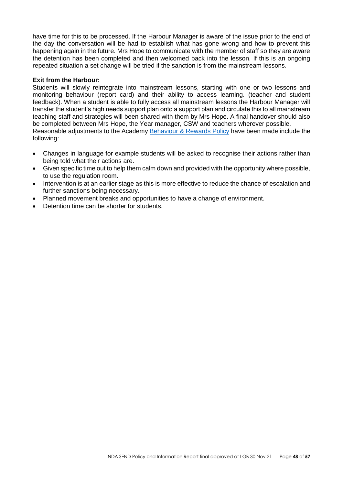have time for this to be processed. If the Harbour Manager is aware of the issue prior to the end of the day the conversation will be had to establish what has gone wrong and how to prevent this happening again in the future. Mrs Hope to communicate with the member of staff so they are aware the detention has been completed and then welcomed back into the lesson. If this is an ongoing repeated situation a set change will be tried if the sanction is from the mainstream lessons.

#### **Exit from the Harbour:**

Students will slowly reintegrate into mainstream lessons, starting with one or two lessons and monitoring behaviour (report card) and their ability to access learning. (teacher and student feedback). When a student is able to fully access all mainstream lessons the Harbour Manager will transfer the student's high needs support plan onto a support plan and circulate this to all mainstream teaching staff and strategies will been shared with them by Mrs Hope. A final handover should also be completed between Mrs Hope, the Year manager, CSW and teachers wherever possible. Reasonable adjustments to the Academy Behaviour [& Rewards Policy](https://www.northdurhamacademy.co.uk/about-us/policies) have been made include the following:

- Changes in language for example students will be asked to recognise their actions rather than being told what their actions are.
- Given specific time out to help them calm down and provided with the opportunity where possible, to use the regulation room.
- Intervention is at an earlier stage as this is more effective to reduce the chance of escalation and further sanctions being necessary.
- Planned movement breaks and opportunities to have a change of environment.
- Detention time can be shorter for students.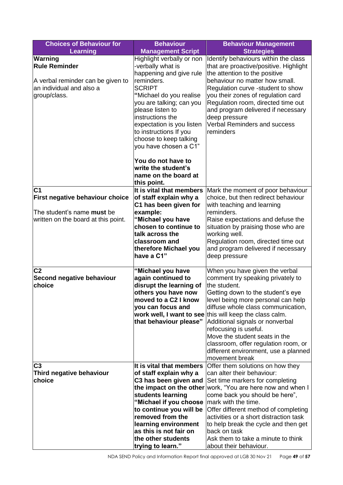| <b>Choices of Behaviour for</b>        | <b>Behaviour</b>                                                          | <b>Behaviour Management</b>                                                                                     |
|----------------------------------------|---------------------------------------------------------------------------|-----------------------------------------------------------------------------------------------------------------|
| <b>Learning</b>                        | <b>Management Script</b>                                                  | <b>Strategies</b>                                                                                               |
| <b>Warning</b><br><b>Rule Reminder</b> | Highlight verbally or non<br>-verbally what is<br>happening and give rule | Identify behaviours within the class<br>that are proactive/positive. Highlight<br>the attention to the positive |
| A verbal reminder can be given to      | reminders.                                                                | behaviour no matter how small.                                                                                  |
| an individual and also a               | <b>SCRIPT</b>                                                             | Regulation curve -student to show                                                                               |
| group/class.                           | "Michael do you realise                                                   | you their zones of regulation card                                                                              |
|                                        | you are talking; can you                                                  | Regulation room, directed time out                                                                              |
|                                        | please listen to                                                          | and program delivered if necessary                                                                              |
|                                        | instructions the                                                          | deep pressure                                                                                                   |
|                                        | expectation is you listen                                                 | <b>Verbal Reminders and success</b>                                                                             |
|                                        | to instructions If you                                                    | reminders                                                                                                       |
|                                        | choose to keep talking                                                    |                                                                                                                 |
|                                        | you have chosen a C1"                                                     |                                                                                                                 |
|                                        | You do not have to                                                        |                                                                                                                 |
|                                        | write the student's                                                       |                                                                                                                 |
|                                        | name on the board at                                                      |                                                                                                                 |
|                                        | this point.                                                               |                                                                                                                 |
| C <sub>1</sub>                         | It is vital that members                                                  | Mark the moment of poor behaviour                                                                               |
| First negative behaviour choice        | of staff explain why a                                                    | choice, but then redirect behaviour                                                                             |
|                                        | C1 has been given for                                                     | with teaching and learning                                                                                      |
| The student's name must be             | example:                                                                  | reminders.                                                                                                      |
| written on the board at this point.    | "Michael you have                                                         | Raise expectations and defuse the                                                                               |
|                                        | chosen to continue to                                                     | situation by praising those who are                                                                             |
|                                        | talk across the                                                           | working well.                                                                                                   |
|                                        | classroom and<br>therefore Michael you                                    | Regulation room, directed time out<br>and program delivered if necessary                                        |
|                                        | have a C1"                                                                | deep pressure                                                                                                   |
|                                        |                                                                           |                                                                                                                 |
| C <sub>2</sub>                         | "Michael you have                                                         | When you have given the verbal                                                                                  |
| Second negative behaviour              | again continued to                                                        | comment try speaking privately to                                                                               |
| choice                                 | disrupt the learning of                                                   | the student.                                                                                                    |
|                                        | others you have now                                                       | Getting down to the student's eye                                                                               |
|                                        | moved to a C2 I know                                                      | level being more personal can help                                                                              |
|                                        | you can focus and                                                         | diffuse whole class communication,                                                                              |
|                                        | that behaviour please"                                                    | work well, I want to see this will keep the class calm.                                                         |
|                                        |                                                                           | Additional signals or nonverbal<br>refocusing is useful.                                                        |
|                                        |                                                                           | Move the student seats in the                                                                                   |
|                                        |                                                                           | classroom, offer regulation room, or                                                                            |
|                                        |                                                                           | different environment, use a planned                                                                            |
|                                        |                                                                           | movement break                                                                                                  |
| C <sub>3</sub>                         | It is vital that members                                                  | Offer them solutions on how they                                                                                |
| Third negative behaviour               | of staff explain why a                                                    | can alter their behaviour:                                                                                      |
| choice                                 | C3 has been given and                                                     | Set time markers for completing                                                                                 |
|                                        |                                                                           | the impact on the other work, "You are here now and when I                                                      |
|                                        | students learning                                                         | come back you should be here",                                                                                  |
|                                        | "Michael if you choose                                                    | lmark with the time.                                                                                            |
|                                        | to continue you will be<br>removed from the                               | Offer different method of completing<br>activities or a short distraction task                                  |
|                                        | learning environment                                                      | to help break the cycle and then get                                                                            |
|                                        | as this is not fair on                                                    | back on task                                                                                                    |
|                                        | the other students                                                        | Ask them to take a minute to think                                                                              |
|                                        | trying to learn."                                                         | about their behaviour.                                                                                          |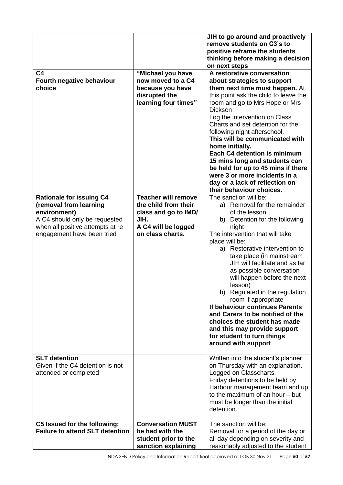|                                                                                                                                                                              |                                                                                                                               | JIH to go around and proactively<br>remove students on C3's to<br>positive reframe the students<br>thinking before making a decision<br>on next steps                                                                                                                                                                                                                                                                                                                                                                                                                                             |
|------------------------------------------------------------------------------------------------------------------------------------------------------------------------------|-------------------------------------------------------------------------------------------------------------------------------|---------------------------------------------------------------------------------------------------------------------------------------------------------------------------------------------------------------------------------------------------------------------------------------------------------------------------------------------------------------------------------------------------------------------------------------------------------------------------------------------------------------------------------------------------------------------------------------------------|
| C <sub>4</sub><br>Fourth negative behaviour<br>choice                                                                                                                        | "Michael you have<br>now moved to a C4<br>because you have<br>disrupted the<br>learning four times"                           | A restorative conversation<br>about strategies to support<br>them next time must happen. At<br>this point ask the child to leave the<br>room and go to Mrs Hope or Mrs<br><b>Dickson</b><br>Log the intervention on Class<br>Charts and set detention for the<br>following night afterschool.<br>This will be communicated with<br>home initially.<br>Each C4 detention is minimum<br>15 mins long and students can<br>be held for up to 45 mins if there<br>were 3 or more incidents in a<br>day or a lack of reflection on<br>their behaviour choices.                                          |
| <b>Rationale for issuing C4</b><br>(removal from learning<br>environment)<br>A C4 should only be requested<br>when all positive attempts at re<br>engagement have been tried | <b>Teacher will remove</b><br>the child from their<br>class and go to IMD/<br>JIH.<br>A C4 will be logged<br>on class charts. | The sanction will be:<br>a) Removal for the remainder<br>of the lesson<br>b) Detention for the following<br>night<br>The intervention that will take<br>place will be:<br>a) Restorative intervention to<br>take place (in mainstream<br>JIH will facilitate and as far<br>as possible conversation<br>will happen before the next<br>lesson)<br>b) Regulated in the regulation<br>room if appropriate<br>If behaviour continues Parents<br>and Carers to be notified of the<br>choices the student has made<br>and this may provide support<br>for student to turn things<br>around with support |
| <b>SLT</b> detention<br>Given if the C4 detention is not<br>attended or completed                                                                                            |                                                                                                                               | Written into the student's planner<br>on Thursday with an explanation.<br>Logged on Classcharts.<br>Friday detentions to be held by<br>Harbour management team and up<br>to the maximum of an hour - but<br>must be longer than the initial<br>detention.                                                                                                                                                                                                                                                                                                                                         |
| C5 Issued for the following:<br><b>Failure to attend SLT detention</b>                                                                                                       | <b>Conversation MUST</b><br>be had with the<br>student prior to the<br>sanction explaining                                    | The sanction will be:<br>Removal for a period of the day or<br>all day depending on severity and<br>reasonably adjusted to the student                                                                                                                                                                                                                                                                                                                                                                                                                                                            |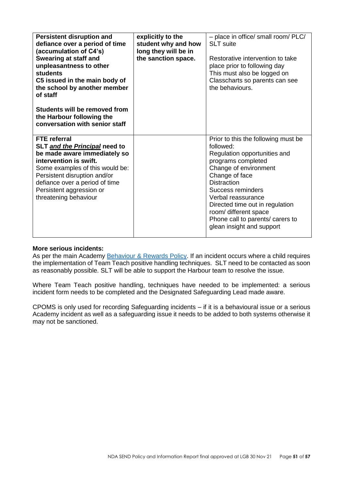| <b>Persistent disruption and</b><br>defiance over a period of time<br>(accumulation of C4's)<br>Swearing at staff and<br>unpleasantness to other<br><b>students</b><br>C5 issued in the main body of<br>the school by another member<br>of staff<br>Students will be removed from<br>the Harbour following the<br>conversation with senior staff | explicitly to the<br>student why and how<br>long they will be in<br>the sanction space. | - place in office/ small room/ PLC/<br><b>SLT</b> suite<br>Restorative intervention to take<br>place prior to following day<br>This must also be logged on<br>Classcharts so parents can see<br>the behaviours.                                                                                                                                 |
|--------------------------------------------------------------------------------------------------------------------------------------------------------------------------------------------------------------------------------------------------------------------------------------------------------------------------------------------------|-----------------------------------------------------------------------------------------|-------------------------------------------------------------------------------------------------------------------------------------------------------------------------------------------------------------------------------------------------------------------------------------------------------------------------------------------------|
| <b>FTE</b> referral<br>SLT and the Principal need to<br>be made aware immediately so<br>intervention is swift.<br>Some examples of this would be:<br>Persistent disruption and/or<br>defiance over a period of time<br>Persistent aggression or<br>threatening behaviour                                                                         |                                                                                         | Prior to this the following must be<br>followed:<br>Regulation opportunities and<br>programs completed<br>Change of environment<br>Change of face<br><b>Distraction</b><br>Success reminders<br>Verbal reassurance<br>Directed time out in regulation<br>room/ different space<br>Phone call to parents/ carers to<br>glean insight and support |

#### **More serious incidents:**

As per the main Academy [Behaviour & Rewards Policy.](https://www.northdurhamacademy.co.uk/about-us/policies) If an incident occurs where a child requires the implementation of Team Teach positive handling techniques. SLT need to be contacted as soon as reasonably possible. SLT will be able to support the Harbour team to resolve the issue.

Where Team Teach positive handling, techniques have needed to be implemented: a serious incident form needs to be completed and the Designated Safeguarding Lead made aware.

CPOMS is only used for recording Safeguarding incidents – if it is a behavioural issue or a serious Academy incident as well as a safeguarding issue it needs to be added to both systems otherwise it may not be sanctioned.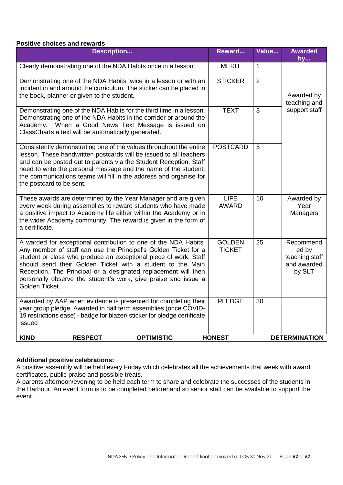#### **Positive choices and rewards**

| <b>Description</b>                                                                                                                                                                                                                                                                                                                                                                                                         | Reward                         | Value        | <b>Awarded</b><br>by                                          |
|----------------------------------------------------------------------------------------------------------------------------------------------------------------------------------------------------------------------------------------------------------------------------------------------------------------------------------------------------------------------------------------------------------------------------|--------------------------------|--------------|---------------------------------------------------------------|
| Clearly demonstrating one of the NDA Habits once in a lesson.                                                                                                                                                                                                                                                                                                                                                              | <b>MERIT</b>                   | $\mathbf{1}$ |                                                               |
| Demonstrating one of the NDA Habits twice in a lesson or with an<br>incident in and around the curriculum. The sticker can be placed in<br>the book, planner or given to the student.                                                                                                                                                                                                                                      | <b>STICKER</b>                 | 2            | Awarded by<br>teaching and                                    |
| Demonstrating one of the NDA Habits for the third time in a lesson.<br>Demonstrating one of the NDA Habits in the corridor or around the<br>Academy. When a Good News Text Message is issued on<br>ClassCharts a text will be automatically generated.                                                                                                                                                                     | <b>TEXT</b>                    | 3            | support staff                                                 |
| Consistently demonstrating one of the values throughout the entire<br>lesson. These handwritten postcards will be issued to all teachers<br>and can be posted out to parents via the Student Reception. Staff<br>need to write the personal message and the name of the student;<br>the communications teams will fill in the address and organise for<br>the postcard to be sent.                                         | <b>POSTCARD</b>                | 5            |                                                               |
| These awards are determined by the Year Manager and are given<br>every week during assemblies to reward students who have made<br>a positive impact to Academy life either within the Academy or in<br>the wider Academy community. The reward is given in the form of<br>a certificate.                                                                                                                                   | <b>LIFE</b><br><b>AWARD</b>    | 10           | Awarded by<br>Year<br>Managers                                |
| A warded for exceptional contribution to one of the NDA Habits.<br>Any member of staff can use the Principal's Golden Ticket for a<br>student or class who produce an exceptional piece of work. Staff<br>should send their Golden Ticket with a student to the Main<br>Reception. The Principal or a designated replacement will then<br>personally observe the student's work, give praise and issue a<br>Golden Ticket. | <b>GOLDEN</b><br><b>TICKET</b> | 25           | Recommend<br>ed by<br>teaching staff<br>and awarded<br>by SLT |
| Awarded by AAP when evidence is presented for completing their<br>year group pledge. Awarded in half term assemblies (once COVID-<br>19 restrictions ease) - badge for blazer/ sticker for pledge certificate<br>issued                                                                                                                                                                                                    | <b>PLEDGE</b>                  | 30           |                                                               |
| <b>OPTIMISTIC</b><br><b>KIND</b><br><b>RESPECT</b>                                                                                                                                                                                                                                                                                                                                                                         | <b>HONEST</b>                  |              | <b>DETERMINATION</b>                                          |

## **Additional positive celebrations:**

A positive assembly will be held every Friday which celebrates all the achievements that week with award certificates, public praise and possible treats.

A parents afternoon/evening to be held each term to share and celebrate the successes of the students in the Harbour. An event form is to be completed beforehand so senior staff can be available to support the event.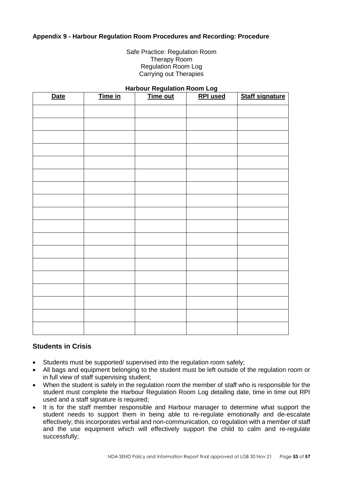## <span id="page-52-0"></span>**Appendix 9 - Harbour Regulation Room Procedures and Recording: Procedure**

Safe Practice: Regulation Room Therapy Room Regulation Room Log Carrying out Therapies

#### **Harbour Regulation Room Log**

| <b>Date</b> | Time in | Time out | <b>RPI</b> used | <b>Staff signature</b> |
|-------------|---------|----------|-----------------|------------------------|
|             |         |          |                 |                        |
|             |         |          |                 |                        |
|             |         |          |                 |                        |
|             |         |          |                 |                        |
|             |         |          |                 |                        |
|             |         |          |                 |                        |
|             |         |          |                 |                        |
|             |         |          |                 |                        |
|             |         |          |                 |                        |
|             |         |          |                 |                        |
|             |         |          |                 |                        |
|             |         |          |                 |                        |
|             |         |          |                 |                        |
|             |         |          |                 |                        |
|             |         |          |                 |                        |
|             |         |          |                 |                        |
|             |         |          |                 |                        |
|             |         |          |                 |                        |

## **Students in Crisis**

- Students must be supported/ supervised into the regulation room safely;
- All bags and equipment belonging to the student must be left outside of the regulation room or in full view of staff supervising student;
- When the student is safely in the regulation room the member of staff who is responsible for the student must complete the Harbour Regulation Room Log detailing date, time in time out RPI used and a staff signature is required;
- It is for the staff member responsible and Harbour manager to determine what support the student needs to support them in being able to re-regulate emotionally and de-escalate effectively; this incorporates verbal and non-communication, co regulation with a member of staff and the use equipment which will effectively support the child to calm and re-regulate successfully;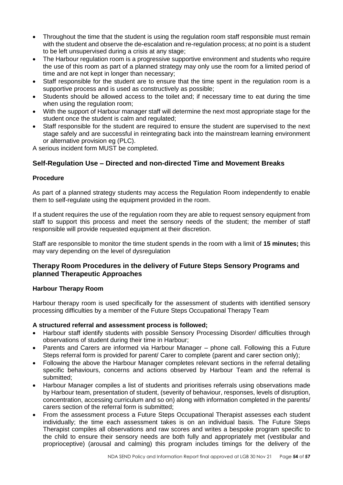- Throughout the time that the student is using the regulation room staff responsible must remain with the student and observe the de-escalation and re-regulation process; at no point is a student to be left unsupervised during a crisis at any stage;
- The Harbour regulation room is a progressive supportive environment and students who require the use of this room as part of a planned strategy may only use the room for a limited period of time and are not kept in longer than necessary;
- Staff responsible for the student are to ensure that the time spent in the regulation room is a supportive process and is used as constructively as possible;
- Students should be allowed access to the toilet and; if necessary time to eat during the time when using the regulation room;
- With the support of Harbour manager staff will determine the next most appropriate stage for the student once the student is calm and regulated;
- Staff responsible for the student are required to ensure the student are supervised to the next stage safely and are successful in reintegrating back into the mainstream learning environment or alternative provision eg (PLC).

A serious incident form MUST be completed.

## **Self-Regulation Use – Directed and non-directed Time and Movement Breaks**

## **Procedure**

As part of a planned strategy students may access the Regulation Room independently to enable them to self-regulate using the equipment provided in the room.

If a student requires the use of the regulation room they are able to request sensory equipment from staff to support this process and meet the sensory needs of the student; the member of staff responsible will provide requested equipment at their discretion.

Staff are responsible to monitor the time student spends in the room with a limit of **15 minutes;** this may vary depending on the level of dysregulation

## **Therapy Room Procedures in the delivery of Future Steps Sensory Programs and planned Therapeutic Approaches**

## **Harbour Therapy Room**

Harbour therapy room is used specifically for the assessment of students with identified sensory processing difficulties by a member of the Future Steps Occupational Therapy Team

## **A structured referral and assessment process is followed;**

- Harbour staff identify students with possible Sensory Processing Disorder/ difficulties through observations of student during their time in Harbour;
- Parents and Carers are informed via Harbour Manager phone call. Following this a Future Steps referral form is provided for parent/ Carer to complete (parent and carer section only);
- Following the above the Harbour Manager completes relevant sections in the referral detailing specific behaviours, concerns and actions observed by Harbour Team and the referral is submitted;
- Harbour Manager compiles a list of students and prioritises referrals using observations made by Harbour team, presentation of student, (severity of behaviour, responses, levels of disruption, concentration, accessing curriculum and so on) along with information completed in the parents/ carers section of the referral form is submitted;
- From the assessment process a Future Steps Occupational Therapist assesses each student individually; the time each assessment takes is on an individual basis. The Future Steps Therapist compiles all observations and raw scores and writes a bespoke program specific to the child to ensure their sensory needs are both fully and appropriately met (vestibular and proprioceptive) (arousal and calming) this program includes timings for the delivery of the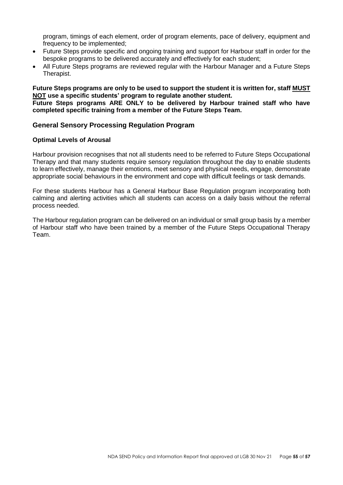program, timings of each element, order of program elements, pace of delivery, equipment and frequency to be implemented;

- Future Steps provide specific and ongoing training and support for Harbour staff in order for the bespoke programs to be delivered accurately and effectively for each student;
- All Future Steps programs are reviewed regular with the Harbour Manager and a Future Steps Therapist.

**Future Steps programs are only to be used to support the student it is written for, staff MUST NOT use a specific students' program to regulate another student.**

**Future Steps programs ARE ONLY to be delivered by Harbour trained staff who have completed specific training from a member of the Future Steps Team.**

## **General Sensory Processing Regulation Program**

#### **Optimal Levels of Arousal**

Harbour provision recognises that not all students need to be referred to Future Steps Occupational Therapy and that many students require sensory regulation throughout the day to enable students to learn effectively, manage their emotions, meet sensory and physical needs, engage, demonstrate appropriate social behaviours in the environment and cope with difficult feelings or task demands.

For these students Harbour has a General Harbour Base Regulation program incorporating both calming and alerting activities which all students can access on a daily basis without the referral process needed.

The Harbour regulation program can be delivered on an individual or small group basis by a member of Harbour staff who have been trained by a member of the Future Steps Occupational Therapy Team.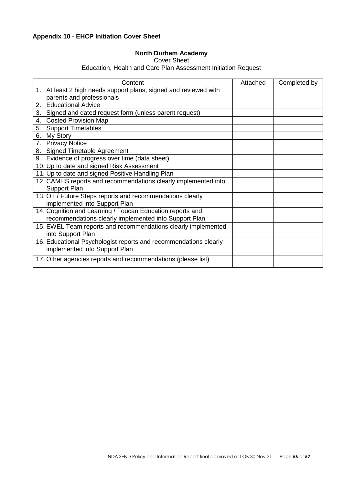# <span id="page-55-0"></span>**Appendix 10 - EHCP Initiation Cover Sheet**

# **North Durham Academy**

## Cover Sheet

Education, Health and Care Plan Assessment Initiation Request

| Content                                                          | Attached | Completed by |
|------------------------------------------------------------------|----------|--------------|
| 1. At least 2 high needs support plans, signed and reviewed with |          |              |
| parents and professionals                                        |          |              |
| <b>Educational Advice</b><br>2.                                  |          |              |
| 3.<br>Signed and dated request form (unless parent request)      |          |              |
| <b>Costed Provision Map</b><br>4.                                |          |              |
| <b>Support Timetables</b><br>5.                                  |          |              |
| My Story<br>6.                                                   |          |              |
| <b>Privacy Notice</b><br>7.                                      |          |              |
| 8. Signed Timetable Agreement                                    |          |              |
| Evidence of progress over time (data sheet)<br>9.                |          |              |
| 10. Up to date and signed Risk Assessment                        |          |              |
| 11. Up to date and signed Positive Handling Plan                 |          |              |
| 12. CAMHS reports and recommendations clearly implemented into   |          |              |
| <b>Support Plan</b>                                              |          |              |
| 13. OT / Future Steps reports and recommendations clearly        |          |              |
| implemented into Support Plan                                    |          |              |
| 14. Cognition and Learning / Toucan Education reports and        |          |              |
| recommendations clearly implemented into Support Plan            |          |              |
| 15. EWEL Team reports and recommendations clearly implemented    |          |              |
| into Support Plan                                                |          |              |
| 16. Educational Psychologist reports and recommendations clearly |          |              |
| implemented into Support Plan                                    |          |              |
| 17. Other agencies reports and recommendations (please list)     |          |              |
|                                                                  |          |              |